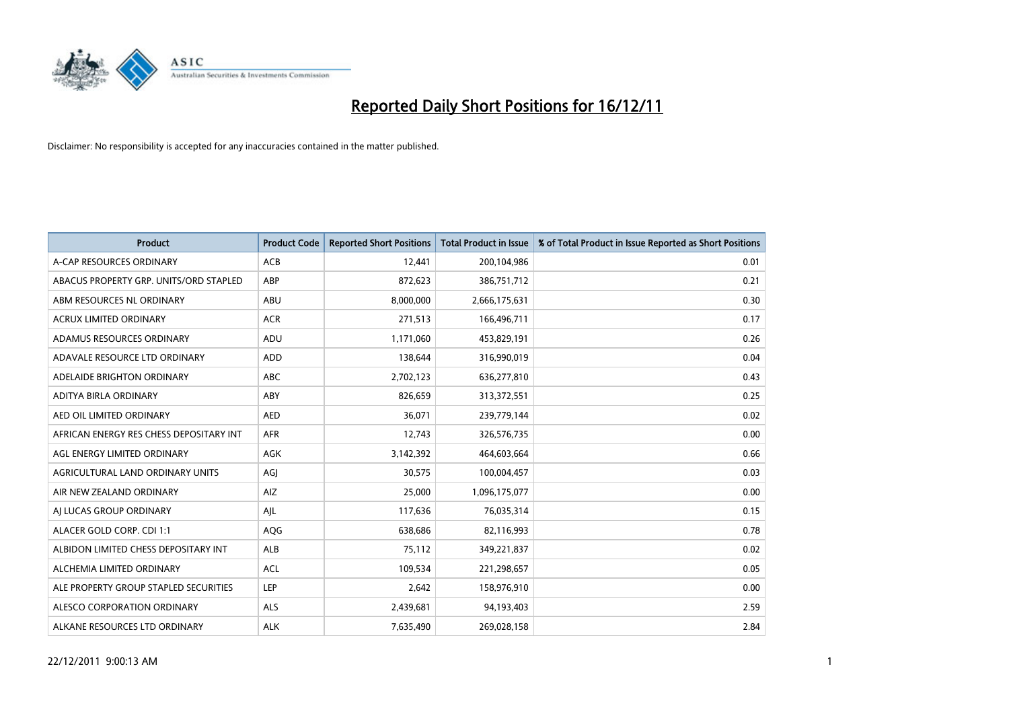

| <b>Product</b>                          | <b>Product Code</b> | <b>Reported Short Positions</b> | Total Product in Issue | % of Total Product in Issue Reported as Short Positions |
|-----------------------------------------|---------------------|---------------------------------|------------------------|---------------------------------------------------------|
| A-CAP RESOURCES ORDINARY                | <b>ACB</b>          | 12,441                          | 200,104,986            | 0.01                                                    |
| ABACUS PROPERTY GRP. UNITS/ORD STAPLED  | ABP                 | 872,623                         | 386,751,712            | 0.21                                                    |
| ABM RESOURCES NL ORDINARY               | ABU                 | 8,000,000                       | 2,666,175,631          | 0.30                                                    |
| ACRUX LIMITED ORDINARY                  | <b>ACR</b>          | 271,513                         | 166,496,711            | 0.17                                                    |
| ADAMUS RESOURCES ORDINARY               | ADU                 | 1,171,060                       | 453,829,191            | 0.26                                                    |
| ADAVALE RESOURCE LTD ORDINARY           | <b>ADD</b>          | 138,644                         | 316,990,019            | 0.04                                                    |
| ADELAIDE BRIGHTON ORDINARY              | <b>ABC</b>          | 2,702,123                       | 636,277,810            | 0.43                                                    |
| ADITYA BIRLA ORDINARY                   | ABY                 | 826,659                         | 313,372,551            | 0.25                                                    |
| AED OIL LIMITED ORDINARY                | <b>AED</b>          | 36,071                          | 239,779,144            | 0.02                                                    |
| AFRICAN ENERGY RES CHESS DEPOSITARY INT | <b>AFR</b>          | 12,743                          | 326,576,735            | 0.00                                                    |
| AGL ENERGY LIMITED ORDINARY             | AGK                 | 3,142,392                       | 464,603,664            | 0.66                                                    |
| AGRICULTURAL LAND ORDINARY UNITS        | AGI                 | 30,575                          | 100,004,457            | 0.03                                                    |
| AIR NEW ZEALAND ORDINARY                | AIZ                 | 25,000                          | 1,096,175,077          | 0.00                                                    |
| AI LUCAS GROUP ORDINARY                 | AIL                 | 117,636                         | 76,035,314             | 0.15                                                    |
| ALACER GOLD CORP. CDI 1:1               | AQG                 | 638,686                         | 82,116,993             | 0.78                                                    |
| ALBIDON LIMITED CHESS DEPOSITARY INT    | ALB                 | 75,112                          | 349,221,837            | 0.02                                                    |
| ALCHEMIA LIMITED ORDINARY               | <b>ACL</b>          | 109,534                         | 221,298,657            | 0.05                                                    |
| ALE PROPERTY GROUP STAPLED SECURITIES   | LEP                 | 2,642                           | 158,976,910            | 0.00                                                    |
| ALESCO CORPORATION ORDINARY             | <b>ALS</b>          | 2,439,681                       | 94,193,403             | 2.59                                                    |
| ALKANE RESOURCES LTD ORDINARY           | <b>ALK</b>          | 7,635,490                       | 269,028,158            | 2.84                                                    |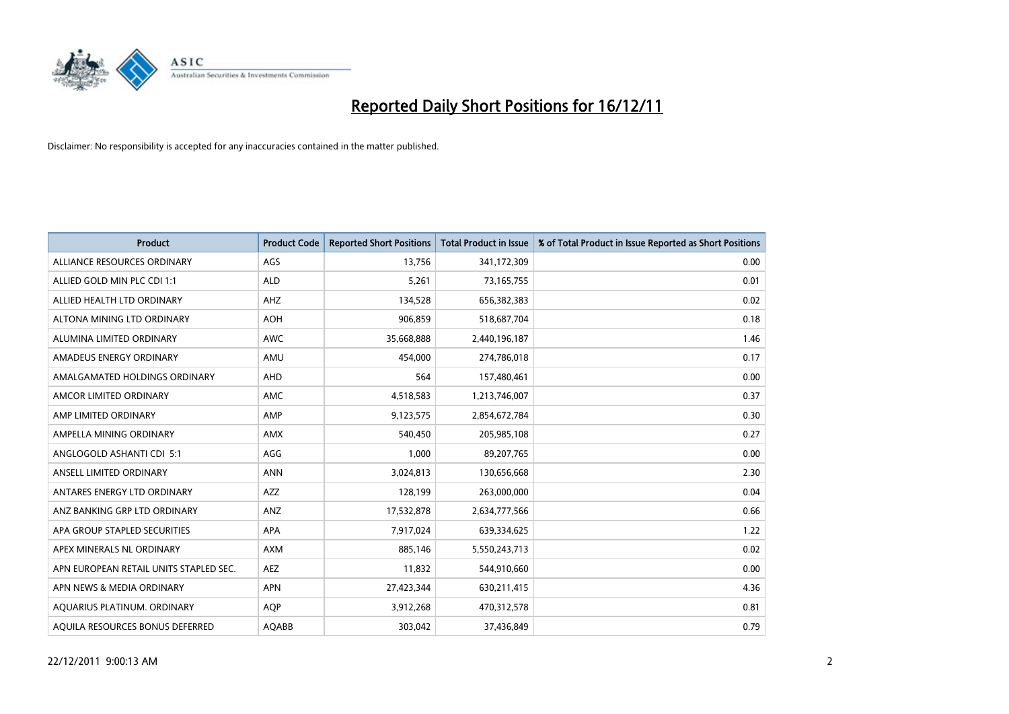

| <b>Product</b>                         | <b>Product Code</b> | <b>Reported Short Positions</b> | <b>Total Product in Issue</b> | % of Total Product in Issue Reported as Short Positions |
|----------------------------------------|---------------------|---------------------------------|-------------------------------|---------------------------------------------------------|
| ALLIANCE RESOURCES ORDINARY            | AGS                 | 13,756                          | 341,172,309                   | 0.00                                                    |
| ALLIED GOLD MIN PLC CDI 1:1            | <b>ALD</b>          | 5,261                           | 73,165,755                    | 0.01                                                    |
| ALLIED HEALTH LTD ORDINARY             | AHZ                 | 134,528                         | 656,382,383                   | 0.02                                                    |
| ALTONA MINING LTD ORDINARY             | <b>AOH</b>          | 906,859                         | 518,687,704                   | 0.18                                                    |
| ALUMINA LIMITED ORDINARY               | <b>AWC</b>          | 35,668,888                      | 2,440,196,187                 | 1.46                                                    |
| AMADEUS ENERGY ORDINARY                | AMU                 | 454,000                         | 274,786,018                   | 0.17                                                    |
| AMALGAMATED HOLDINGS ORDINARY          | <b>AHD</b>          | 564                             | 157,480,461                   | 0.00                                                    |
| AMCOR LIMITED ORDINARY                 | AMC                 | 4,518,583                       | 1,213,746,007                 | 0.37                                                    |
| AMP LIMITED ORDINARY                   | AMP                 | 9,123,575                       | 2,854,672,784                 | 0.30                                                    |
| AMPELLA MINING ORDINARY                | AMX                 | 540,450                         | 205,985,108                   | 0.27                                                    |
| ANGLOGOLD ASHANTI CDI 5:1              | AGG                 | 1,000                           | 89,207,765                    | 0.00                                                    |
| ANSELL LIMITED ORDINARY                | <b>ANN</b>          | 3,024,813                       | 130,656,668                   | 2.30                                                    |
| ANTARES ENERGY LTD ORDINARY            | <b>AZZ</b>          | 128,199                         | 263,000,000                   | 0.04                                                    |
| ANZ BANKING GRP LTD ORDINARY           | ANZ                 | 17,532,878                      | 2,634,777,566                 | 0.66                                                    |
| APA GROUP STAPLED SECURITIES           | <b>APA</b>          | 7,917,024                       | 639,334,625                   | 1.22                                                    |
| APEX MINERALS NL ORDINARY              | <b>AXM</b>          | 885,146                         | 5,550,243,713                 | 0.02                                                    |
| APN EUROPEAN RETAIL UNITS STAPLED SEC. | <b>AEZ</b>          | 11,832                          | 544,910,660                   | 0.00                                                    |
| APN NEWS & MEDIA ORDINARY              | <b>APN</b>          | 27,423,344                      | 630,211,415                   | 4.36                                                    |
| AOUARIUS PLATINUM. ORDINARY            | <b>AOP</b>          | 3,912,268                       | 470,312,578                   | 0.81                                                    |
| AQUILA RESOURCES BONUS DEFERRED        | <b>AQABB</b>        | 303.042                         | 37,436,849                    | 0.79                                                    |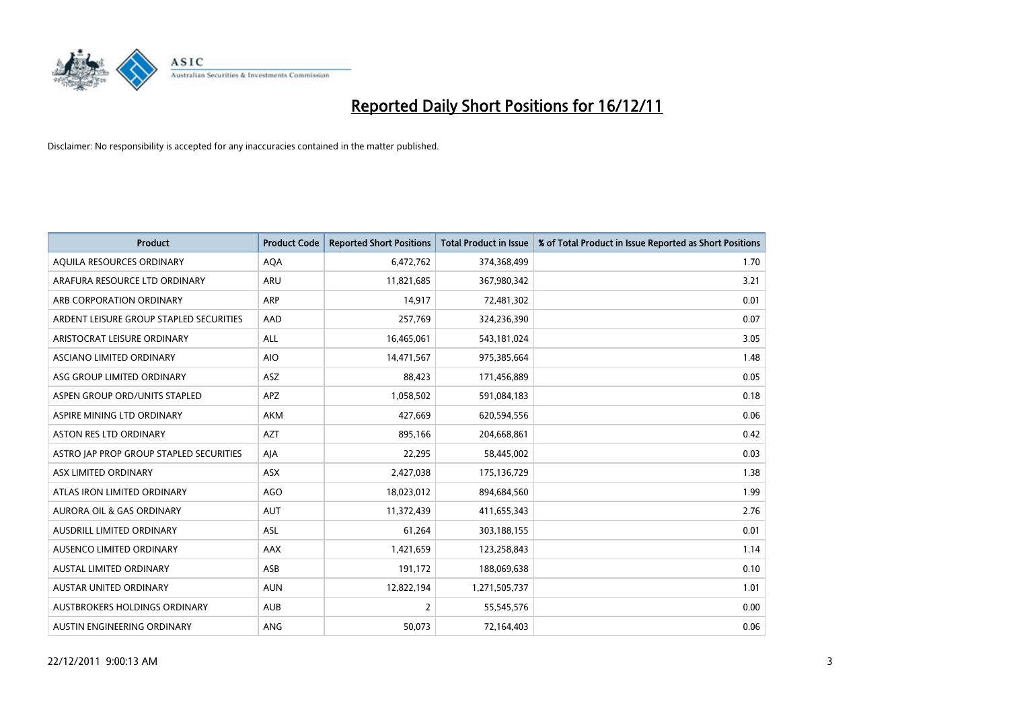

| <b>Product</b>                          | <b>Product Code</b> | <b>Reported Short Positions</b> | <b>Total Product in Issue</b> | % of Total Product in Issue Reported as Short Positions |
|-----------------------------------------|---------------------|---------------------------------|-------------------------------|---------------------------------------------------------|
| AQUILA RESOURCES ORDINARY               | <b>AQA</b>          | 6,472,762                       | 374,368,499                   | 1.70                                                    |
| ARAFURA RESOURCE LTD ORDINARY           | <b>ARU</b>          | 11,821,685                      | 367,980,342                   | 3.21                                                    |
| ARB CORPORATION ORDINARY                | <b>ARP</b>          | 14,917                          | 72,481,302                    | 0.01                                                    |
| ARDENT LEISURE GROUP STAPLED SECURITIES | AAD                 | 257,769                         | 324,236,390                   | 0.07                                                    |
| ARISTOCRAT LEISURE ORDINARY             | <b>ALL</b>          | 16,465,061                      | 543,181,024                   | 3.05                                                    |
| ASCIANO LIMITED ORDINARY                | <b>AIO</b>          | 14,471,567                      | 975,385,664                   | 1.48                                                    |
| ASG GROUP LIMITED ORDINARY              | <b>ASZ</b>          | 88.423                          | 171,456,889                   | 0.05                                                    |
| ASPEN GROUP ORD/UNITS STAPLED           | <b>APZ</b>          | 1,058,502                       | 591,084,183                   | 0.18                                                    |
| ASPIRE MINING LTD ORDINARY              | <b>AKM</b>          | 427,669                         | 620,594,556                   | 0.06                                                    |
| <b>ASTON RES LTD ORDINARY</b>           | <b>AZT</b>          | 895,166                         | 204,668,861                   | 0.42                                                    |
| ASTRO JAP PROP GROUP STAPLED SECURITIES | AJA                 | 22,295                          | 58,445,002                    | 0.03                                                    |
| ASX LIMITED ORDINARY                    | <b>ASX</b>          | 2,427,038                       | 175,136,729                   | 1.38                                                    |
| ATLAS IRON LIMITED ORDINARY             | AGO                 | 18,023,012                      | 894,684,560                   | 1.99                                                    |
| <b>AURORA OIL &amp; GAS ORDINARY</b>    | <b>AUT</b>          | 11,372,439                      | 411,655,343                   | 2.76                                                    |
| AUSDRILL LIMITED ORDINARY               | <b>ASL</b>          | 61,264                          | 303,188,155                   | 0.01                                                    |
| AUSENCO LIMITED ORDINARY                | AAX                 | 1,421,659                       | 123,258,843                   | 1.14                                                    |
| <b>AUSTAL LIMITED ORDINARY</b>          | ASB                 | 191,172                         | 188,069,638                   | 0.10                                                    |
| AUSTAR UNITED ORDINARY                  | <b>AUN</b>          | 12,822,194                      | 1,271,505,737                 | 1.01                                                    |
| AUSTBROKERS HOLDINGS ORDINARY           | <b>AUB</b>          | $\overline{2}$                  | 55,545,576                    | 0.00                                                    |
| AUSTIN ENGINEERING ORDINARY             | <b>ANG</b>          | 50,073                          | 72,164,403                    | 0.06                                                    |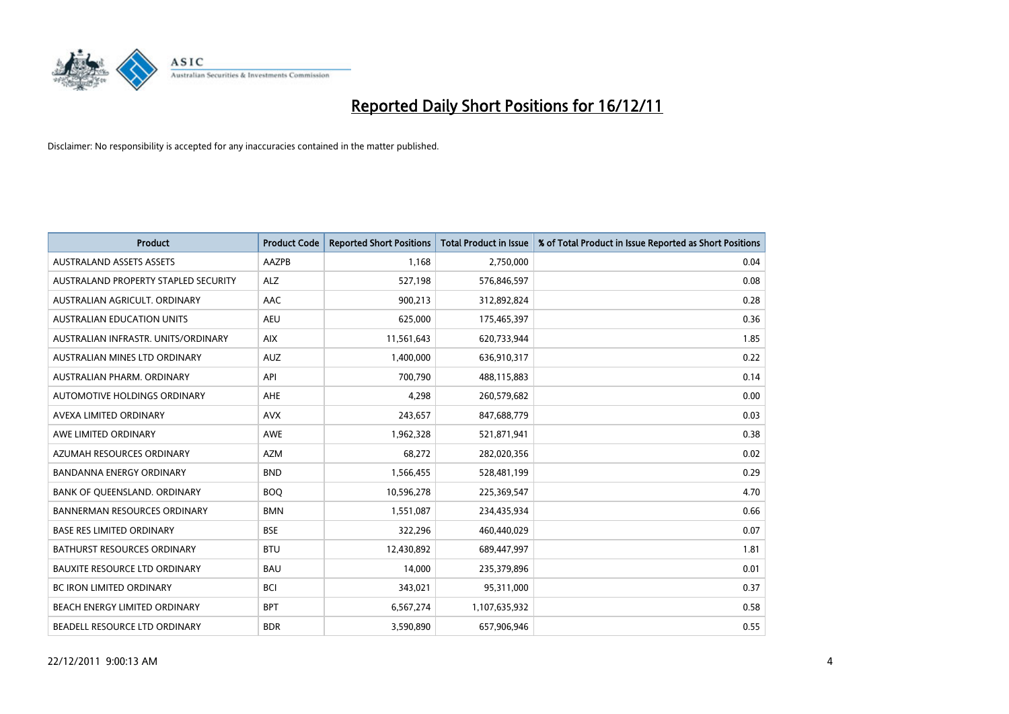

| <b>Product</b>                       | <b>Product Code</b> | <b>Reported Short Positions</b> | <b>Total Product in Issue</b> | % of Total Product in Issue Reported as Short Positions |
|--------------------------------------|---------------------|---------------------------------|-------------------------------|---------------------------------------------------------|
| <b>AUSTRALAND ASSETS ASSETS</b>      | <b>AAZPB</b>        | 1.168                           | 2,750,000                     | 0.04                                                    |
| AUSTRALAND PROPERTY STAPLED SECURITY | <b>ALZ</b>          | 527,198                         | 576,846,597                   | 0.08                                                    |
| AUSTRALIAN AGRICULT, ORDINARY        | AAC                 | 900,213                         | 312,892,824                   | 0.28                                                    |
| <b>AUSTRALIAN EDUCATION UNITS</b>    | <b>AEU</b>          | 625,000                         | 175,465,397                   | 0.36                                                    |
| AUSTRALIAN INFRASTR, UNITS/ORDINARY  | <b>AIX</b>          | 11,561,643                      | 620,733,944                   | 1.85                                                    |
| AUSTRALIAN MINES LTD ORDINARY        | <b>AUZ</b>          | 1,400,000                       | 636,910,317                   | 0.22                                                    |
| AUSTRALIAN PHARM, ORDINARY           | API                 | 700.790                         | 488,115,883                   | 0.14                                                    |
| <b>AUTOMOTIVE HOLDINGS ORDINARY</b>  | <b>AHE</b>          | 4,298                           | 260,579,682                   | 0.00                                                    |
| AVEXA LIMITED ORDINARY               | <b>AVX</b>          | 243,657                         | 847,688,779                   | 0.03                                                    |
| AWE LIMITED ORDINARY                 | <b>AWE</b>          | 1,962,328                       | 521,871,941                   | 0.38                                                    |
| AZUMAH RESOURCES ORDINARY            | <b>AZM</b>          | 68,272                          | 282,020,356                   | 0.02                                                    |
| <b>BANDANNA ENERGY ORDINARY</b>      | <b>BND</b>          | 1,566,455                       | 528,481,199                   | 0.29                                                    |
| BANK OF QUEENSLAND. ORDINARY         | <b>BOQ</b>          | 10,596,278                      | 225,369,547                   | 4.70                                                    |
| <b>BANNERMAN RESOURCES ORDINARY</b>  | <b>BMN</b>          | 1,551,087                       | 234,435,934                   | 0.66                                                    |
| <b>BASE RES LIMITED ORDINARY</b>     | <b>BSE</b>          | 322,296                         | 460,440,029                   | 0.07                                                    |
| BATHURST RESOURCES ORDINARY          | <b>BTU</b>          | 12,430,892                      | 689,447,997                   | 1.81                                                    |
| <b>BAUXITE RESOURCE LTD ORDINARY</b> | <b>BAU</b>          | 14,000                          | 235,379,896                   | 0.01                                                    |
| <b>BC IRON LIMITED ORDINARY</b>      | <b>BCI</b>          | 343,021                         | 95,311,000                    | 0.37                                                    |
| BEACH ENERGY LIMITED ORDINARY        | <b>BPT</b>          | 6,567,274                       | 1,107,635,932                 | 0.58                                                    |
| BEADELL RESOURCE LTD ORDINARY        | <b>BDR</b>          | 3.590.890                       | 657,906,946                   | 0.55                                                    |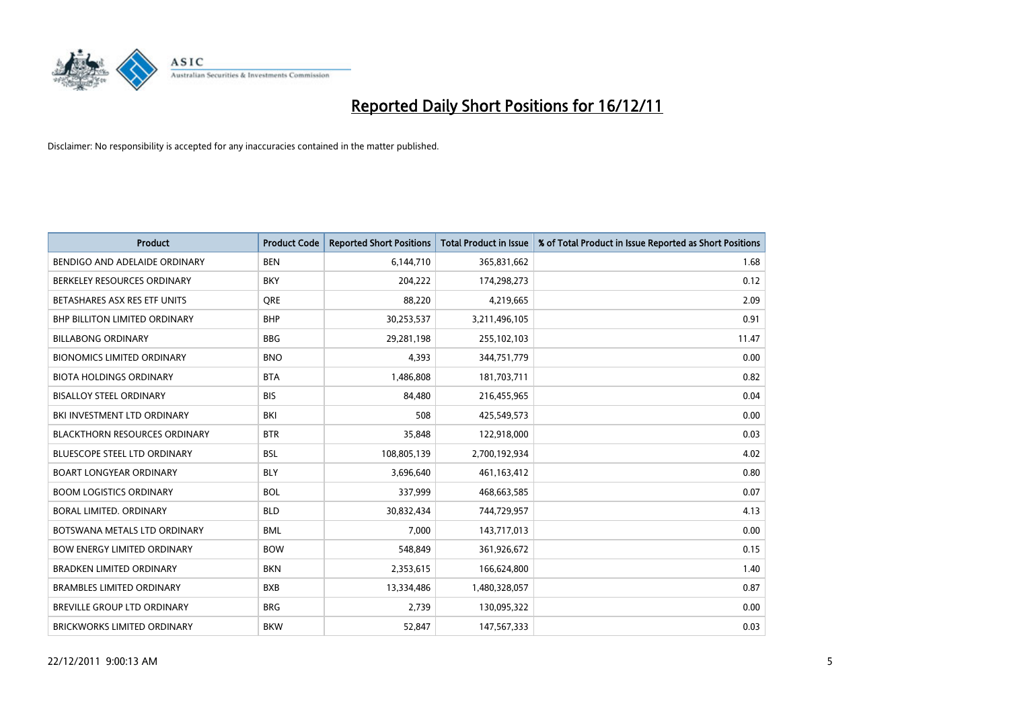

| <b>Product</b>                       | <b>Product Code</b> | <b>Reported Short Positions</b> | <b>Total Product in Issue</b> | % of Total Product in Issue Reported as Short Positions |
|--------------------------------------|---------------------|---------------------------------|-------------------------------|---------------------------------------------------------|
| BENDIGO AND ADELAIDE ORDINARY        | <b>BEN</b>          | 6,144,710                       | 365,831,662                   | 1.68                                                    |
| BERKELEY RESOURCES ORDINARY          | <b>BKY</b>          | 204,222                         | 174,298,273                   | 0.12                                                    |
| BETASHARES ASX RES ETF UNITS         | <b>ORE</b>          | 88,220                          | 4,219,665                     | 2.09                                                    |
| BHP BILLITON LIMITED ORDINARY        | <b>BHP</b>          | 30,253,537                      | 3,211,496,105                 | 0.91                                                    |
| <b>BILLABONG ORDINARY</b>            | <b>BBG</b>          | 29,281,198                      | 255,102,103                   | 11.47                                                   |
| <b>BIONOMICS LIMITED ORDINARY</b>    | <b>BNO</b>          | 4,393                           | 344,751,779                   | 0.00                                                    |
| <b>BIOTA HOLDINGS ORDINARY</b>       | <b>BTA</b>          | 1,486,808                       | 181,703,711                   | 0.82                                                    |
| <b>BISALLOY STEEL ORDINARY</b>       | <b>BIS</b>          | 84,480                          | 216,455,965                   | 0.04                                                    |
| BKI INVESTMENT LTD ORDINARY          | BKI                 | 508                             | 425,549,573                   | 0.00                                                    |
| <b>BLACKTHORN RESOURCES ORDINARY</b> | <b>BTR</b>          | 35,848                          | 122,918,000                   | 0.03                                                    |
| <b>BLUESCOPE STEEL LTD ORDINARY</b>  | <b>BSL</b>          | 108,805,139                     | 2,700,192,934                 | 4.02                                                    |
| <b>BOART LONGYEAR ORDINARY</b>       | <b>BLY</b>          | 3,696,640                       | 461,163,412                   | 0.80                                                    |
| <b>BOOM LOGISTICS ORDINARY</b>       | <b>BOL</b>          | 337,999                         | 468,663,585                   | 0.07                                                    |
| <b>BORAL LIMITED, ORDINARY</b>       | <b>BLD</b>          | 30,832,434                      | 744,729,957                   | 4.13                                                    |
| BOTSWANA METALS LTD ORDINARY         | <b>BML</b>          | 7,000                           | 143,717,013                   | 0.00                                                    |
| <b>BOW ENERGY LIMITED ORDINARY</b>   | <b>BOW</b>          | 548,849                         | 361,926,672                   | 0.15                                                    |
| <b>BRADKEN LIMITED ORDINARY</b>      | <b>BKN</b>          | 2,353,615                       | 166,624,800                   | 1.40                                                    |
| <b>BRAMBLES LIMITED ORDINARY</b>     | <b>BXB</b>          | 13,334,486                      | 1,480,328,057                 | 0.87                                                    |
| <b>BREVILLE GROUP LTD ORDINARY</b>   | <b>BRG</b>          | 2,739                           | 130,095,322                   | 0.00                                                    |
| <b>BRICKWORKS LIMITED ORDINARY</b>   | <b>BKW</b>          | 52.847                          | 147,567,333                   | 0.03                                                    |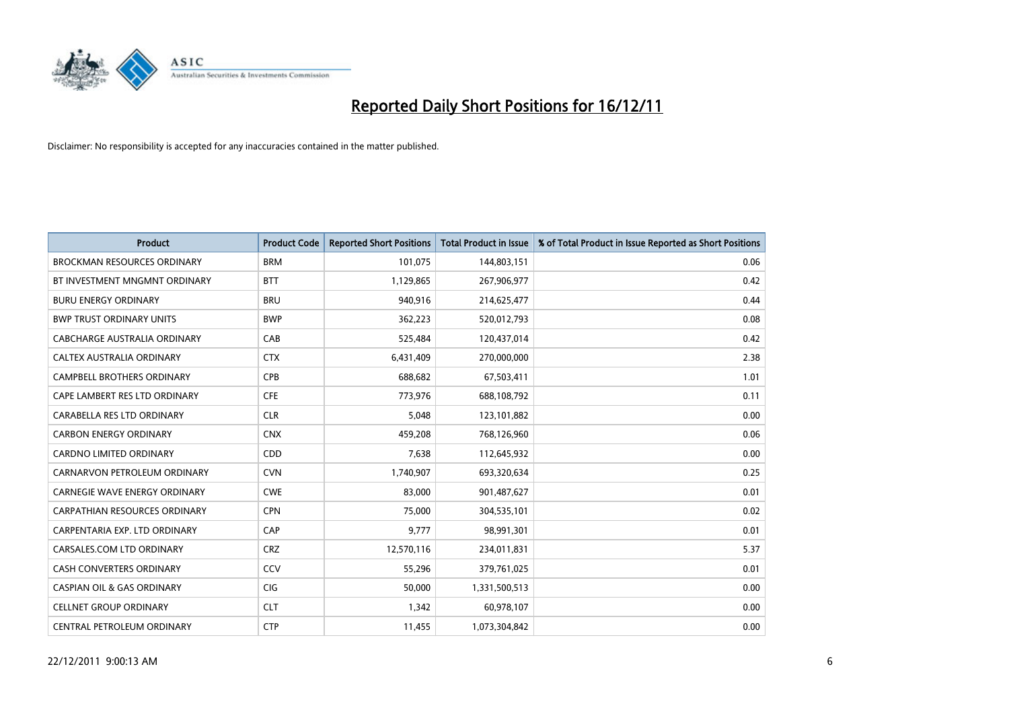

| <b>Product</b>                        | <b>Product Code</b> | <b>Reported Short Positions</b> | <b>Total Product in Issue</b> | % of Total Product in Issue Reported as Short Positions |
|---------------------------------------|---------------------|---------------------------------|-------------------------------|---------------------------------------------------------|
| <b>BROCKMAN RESOURCES ORDINARY</b>    | <b>BRM</b>          | 101,075                         | 144,803,151                   | 0.06                                                    |
| BT INVESTMENT MNGMNT ORDINARY         | <b>BTT</b>          | 1,129,865                       | 267,906,977                   | 0.42                                                    |
| <b>BURU ENERGY ORDINARY</b>           | <b>BRU</b>          | 940,916                         | 214,625,477                   | 0.44                                                    |
| <b>BWP TRUST ORDINARY UNITS</b>       | <b>BWP</b>          | 362,223                         | 520,012,793                   | 0.08                                                    |
| CABCHARGE AUSTRALIA ORDINARY          | CAB                 | 525,484                         | 120,437,014                   | 0.42                                                    |
| CALTEX AUSTRALIA ORDINARY             | <b>CTX</b>          | 6,431,409                       | 270,000,000                   | 2.38                                                    |
| <b>CAMPBELL BROTHERS ORDINARY</b>     | <b>CPB</b>          | 688.682                         | 67,503,411                    | 1.01                                                    |
| CAPE LAMBERT RES LTD ORDINARY         | <b>CFE</b>          | 773,976                         | 688,108,792                   | 0.11                                                    |
| CARABELLA RES LTD ORDINARY            | <b>CLR</b>          | 5,048                           | 123,101,882                   | 0.00                                                    |
| <b>CARBON ENERGY ORDINARY</b>         | <b>CNX</b>          | 459,208                         | 768,126,960                   | 0.06                                                    |
| CARDNO LIMITED ORDINARY               | CDD                 | 7,638                           | 112,645,932                   | 0.00                                                    |
| CARNARVON PETROLEUM ORDINARY          | <b>CVN</b>          | 1,740,907                       | 693,320,634                   | 0.25                                                    |
| <b>CARNEGIE WAVE ENERGY ORDINARY</b>  | <b>CWE</b>          | 83,000                          | 901,487,627                   | 0.01                                                    |
| <b>CARPATHIAN RESOURCES ORDINARY</b>  | <b>CPN</b>          | 75,000                          | 304,535,101                   | 0.02                                                    |
| CARPENTARIA EXP. LTD ORDINARY         | CAP                 | 9,777                           | 98,991,301                    | 0.01                                                    |
| CARSALES.COM LTD ORDINARY             | <b>CRZ</b>          | 12,570,116                      | 234,011,831                   | 5.37                                                    |
| <b>CASH CONVERTERS ORDINARY</b>       | CCV                 | 55,296                          | 379,761,025                   | 0.01                                                    |
| <b>CASPIAN OIL &amp; GAS ORDINARY</b> | <b>CIG</b>          | 50,000                          | 1,331,500,513                 | 0.00                                                    |
| <b>CELLNET GROUP ORDINARY</b>         | <b>CLT</b>          | 1,342                           | 60,978,107                    | 0.00                                                    |
| CENTRAL PETROLEUM ORDINARY            | <b>CTP</b>          | 11,455                          | 1,073,304,842                 | 0.00                                                    |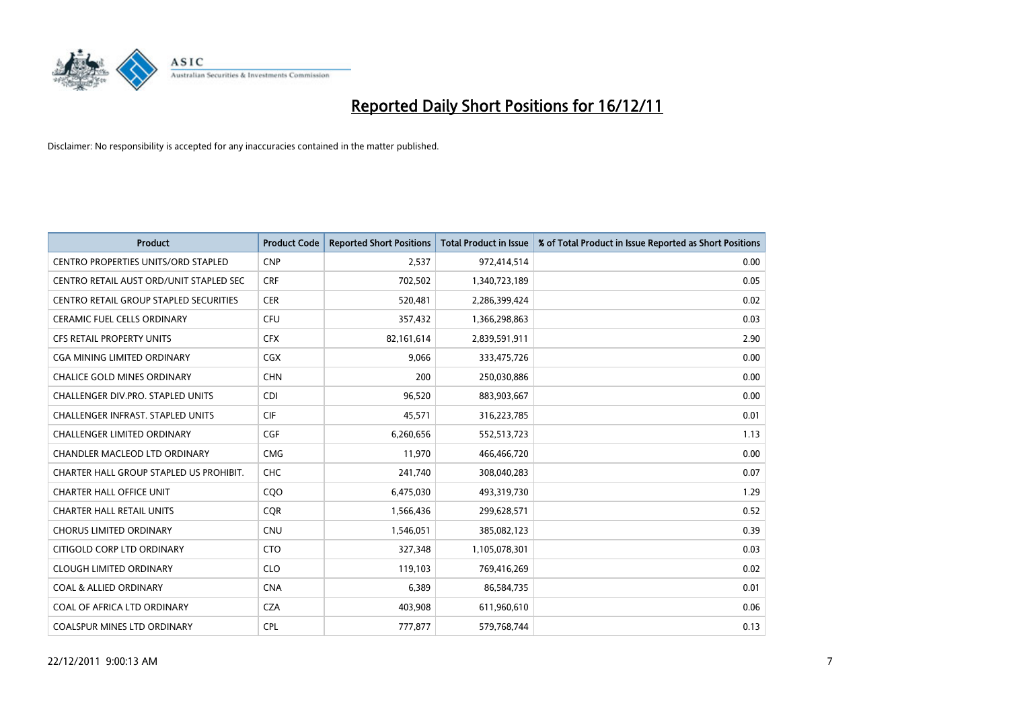

| <b>Product</b>                             | <b>Product Code</b> | <b>Reported Short Positions</b> | <b>Total Product in Issue</b> | % of Total Product in Issue Reported as Short Positions |
|--------------------------------------------|---------------------|---------------------------------|-------------------------------|---------------------------------------------------------|
| <b>CENTRO PROPERTIES UNITS/ORD STAPLED</b> | <b>CNP</b>          | 2,537                           | 972,414,514                   | 0.00                                                    |
| CENTRO RETAIL AUST ORD/UNIT STAPLED SEC    | <b>CRF</b>          | 702,502                         | 1,340,723,189                 | 0.05                                                    |
| CENTRO RETAIL GROUP STAPLED SECURITIES     | <b>CER</b>          | 520,481                         | 2,286,399,424                 | 0.02                                                    |
| CERAMIC FUEL CELLS ORDINARY                | <b>CFU</b>          | 357,432                         | 1,366,298,863                 | 0.03                                                    |
| <b>CFS RETAIL PROPERTY UNITS</b>           | <b>CFX</b>          | 82,161,614                      | 2,839,591,911                 | 2.90                                                    |
| <b>CGA MINING LIMITED ORDINARY</b>         | <b>CGX</b>          | 9,066                           | 333,475,726                   | 0.00                                                    |
| <b>CHALICE GOLD MINES ORDINARY</b>         | <b>CHN</b>          | 200                             | 250,030,886                   | 0.00                                                    |
| CHALLENGER DIV.PRO. STAPLED UNITS          | <b>CDI</b>          | 96,520                          | 883,903,667                   | 0.00                                                    |
| CHALLENGER INFRAST. STAPLED UNITS          | <b>CIF</b>          | 45,571                          | 316,223,785                   | 0.01                                                    |
| <b>CHALLENGER LIMITED ORDINARY</b>         | <b>CGF</b>          | 6,260,656                       | 552,513,723                   | 1.13                                                    |
| CHANDLER MACLEOD LTD ORDINARY              | <b>CMG</b>          | 11,970                          | 466,466,720                   | 0.00                                                    |
| CHARTER HALL GROUP STAPLED US PROHIBIT.    | <b>CHC</b>          | 241,740                         | 308,040,283                   | 0.07                                                    |
| <b>CHARTER HALL OFFICE UNIT</b>            | COO                 | 6,475,030                       | 493,319,730                   | 1.29                                                    |
| <b>CHARTER HALL RETAIL UNITS</b>           | <b>COR</b>          | 1,566,436                       | 299,628,571                   | 0.52                                                    |
| <b>CHORUS LIMITED ORDINARY</b>             | <b>CNU</b>          | 1,546,051                       | 385,082,123                   | 0.39                                                    |
| CITIGOLD CORP LTD ORDINARY                 | <b>CTO</b>          | 327,348                         | 1,105,078,301                 | 0.03                                                    |
| <b>CLOUGH LIMITED ORDINARY</b>             | <b>CLO</b>          | 119,103                         | 769,416,269                   | 0.02                                                    |
| COAL & ALLIED ORDINARY                     | <b>CNA</b>          | 6,389                           | 86,584,735                    | 0.01                                                    |
| COAL OF AFRICA LTD ORDINARY                | <b>CZA</b>          | 403,908                         | 611,960,610                   | 0.06                                                    |
| <b>COALSPUR MINES LTD ORDINARY</b>         | <b>CPL</b>          | 777.877                         | 579,768,744                   | 0.13                                                    |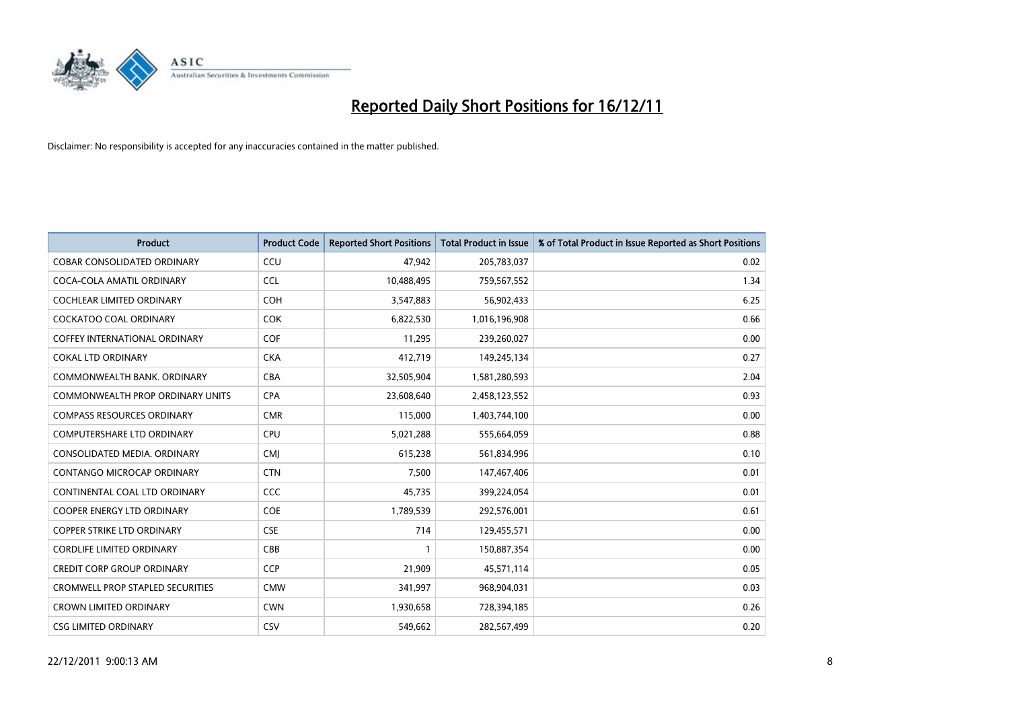

| <b>Product</b>                          | <b>Product Code</b> | <b>Reported Short Positions</b> | <b>Total Product in Issue</b> | % of Total Product in Issue Reported as Short Positions |
|-----------------------------------------|---------------------|---------------------------------|-------------------------------|---------------------------------------------------------|
| <b>COBAR CONSOLIDATED ORDINARY</b>      | CCU                 | 47,942                          | 205,783,037                   | 0.02                                                    |
| COCA-COLA AMATIL ORDINARY               | <b>CCL</b>          | 10,488,495                      | 759,567,552                   | 1.34                                                    |
| <b>COCHLEAR LIMITED ORDINARY</b>        | <b>COH</b>          | 3,547,883                       | 56,902,433                    | 6.25                                                    |
| COCKATOO COAL ORDINARY                  | <b>COK</b>          | 6,822,530                       | 1,016,196,908                 | 0.66                                                    |
| <b>COFFEY INTERNATIONAL ORDINARY</b>    | <b>COF</b>          | 11,295                          | 239,260,027                   | 0.00                                                    |
| <b>COKAL LTD ORDINARY</b>               | <b>CKA</b>          | 412,719                         | 149,245,134                   | 0.27                                                    |
| COMMONWEALTH BANK, ORDINARY             | <b>CBA</b>          | 32,505,904                      | 1,581,280,593                 | 2.04                                                    |
| <b>COMMONWEALTH PROP ORDINARY UNITS</b> | <b>CPA</b>          | 23,608,640                      | 2,458,123,552                 | 0.93                                                    |
| <b>COMPASS RESOURCES ORDINARY</b>       | <b>CMR</b>          | 115,000                         | 1,403,744,100                 | 0.00                                                    |
| <b>COMPUTERSHARE LTD ORDINARY</b>       | CPU                 | 5,021,288                       | 555,664,059                   | 0.88                                                    |
| CONSOLIDATED MEDIA, ORDINARY            | <b>CMI</b>          | 615,238                         | 561,834,996                   | 0.10                                                    |
| <b>CONTANGO MICROCAP ORDINARY</b>       | <b>CTN</b>          | 7,500                           | 147,467,406                   | 0.01                                                    |
| CONTINENTAL COAL LTD ORDINARY           | CCC                 | 45,735                          | 399,224,054                   | 0.01                                                    |
| <b>COOPER ENERGY LTD ORDINARY</b>       | <b>COE</b>          | 1,789,539                       | 292,576,001                   | 0.61                                                    |
| <b>COPPER STRIKE LTD ORDINARY</b>       | <b>CSE</b>          | 714                             | 129,455,571                   | 0.00                                                    |
| <b>CORDLIFE LIMITED ORDINARY</b>        | CBB                 |                                 | 150,887,354                   | 0.00                                                    |
| <b>CREDIT CORP GROUP ORDINARY</b>       | <b>CCP</b>          | 21,909                          | 45,571,114                    | 0.05                                                    |
| <b>CROMWELL PROP STAPLED SECURITIES</b> | <b>CMW</b>          | 341,997                         | 968,904,031                   | 0.03                                                    |
| <b>CROWN LIMITED ORDINARY</b>           | <b>CWN</b>          | 1,930,658                       | 728,394,185                   | 0.26                                                    |
| <b>CSG LIMITED ORDINARY</b>             | CSV                 | 549.662                         | 282,567,499                   | 0.20                                                    |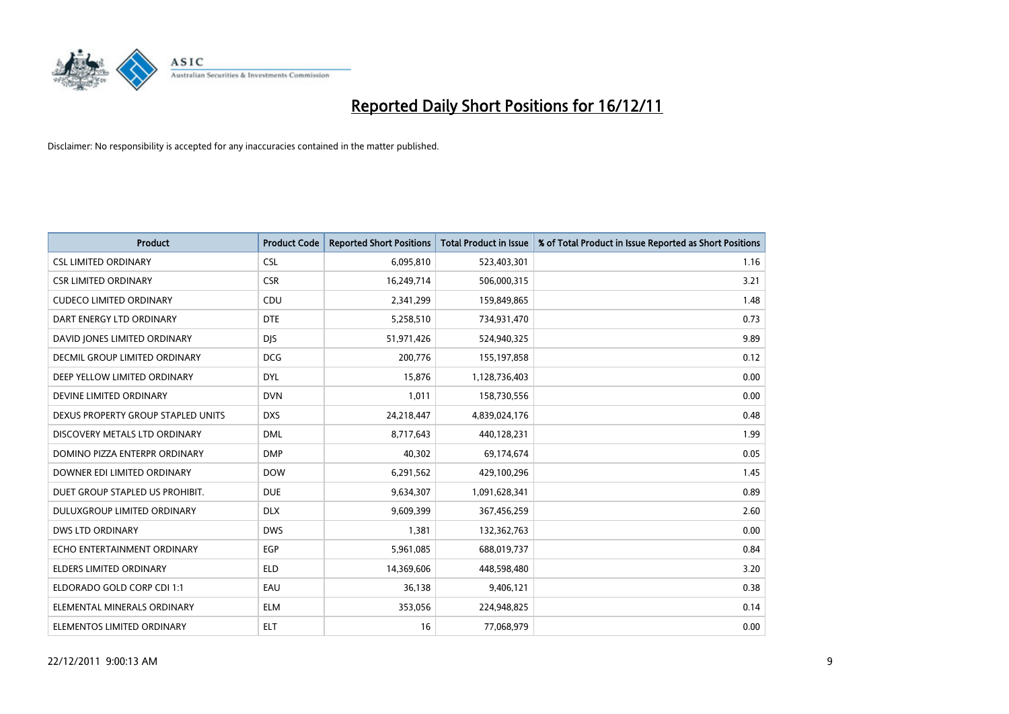

| <b>Product</b>                     | <b>Product Code</b> | <b>Reported Short Positions</b> | <b>Total Product in Issue</b> | % of Total Product in Issue Reported as Short Positions |
|------------------------------------|---------------------|---------------------------------|-------------------------------|---------------------------------------------------------|
| <b>CSL LIMITED ORDINARY</b>        | <b>CSL</b>          | 6,095,810                       | 523,403,301                   | 1.16                                                    |
| <b>CSR LIMITED ORDINARY</b>        | <b>CSR</b>          | 16,249,714                      | 506,000,315                   | 3.21                                                    |
| <b>CUDECO LIMITED ORDINARY</b>     | CDU                 | 2,341,299                       | 159,849,865                   | 1.48                                                    |
| DART ENERGY LTD ORDINARY           | <b>DTE</b>          | 5,258,510                       | 734,931,470                   | 0.73                                                    |
| DAVID JONES LIMITED ORDINARY       | <b>DIS</b>          | 51,971,426                      | 524,940,325                   | 9.89                                                    |
| DECMIL GROUP LIMITED ORDINARY      | <b>DCG</b>          | 200,776                         | 155,197,858                   | 0.12                                                    |
| DEEP YELLOW LIMITED ORDINARY       | <b>DYL</b>          | 15,876                          | 1,128,736,403                 | 0.00                                                    |
| DEVINE LIMITED ORDINARY            | <b>DVN</b>          | 1,011                           | 158,730,556                   | 0.00                                                    |
| DEXUS PROPERTY GROUP STAPLED UNITS | <b>DXS</b>          | 24,218,447                      | 4,839,024,176                 | 0.48                                                    |
| DISCOVERY METALS LTD ORDINARY      | <b>DML</b>          | 8,717,643                       | 440,128,231                   | 1.99                                                    |
| DOMINO PIZZA ENTERPR ORDINARY      | <b>DMP</b>          | 40,302                          | 69,174,674                    | 0.05                                                    |
| DOWNER EDI LIMITED ORDINARY        | <b>DOW</b>          | 6,291,562                       | 429,100,296                   | 1.45                                                    |
| DUET GROUP STAPLED US PROHIBIT.    | <b>DUE</b>          | 9,634,307                       | 1,091,628,341                 | 0.89                                                    |
| DULUXGROUP LIMITED ORDINARY        | <b>DLX</b>          | 9,609,399                       | 367,456,259                   | 2.60                                                    |
| <b>DWS LTD ORDINARY</b>            | <b>DWS</b>          | 1,381                           | 132,362,763                   | 0.00                                                    |
| ECHO ENTERTAINMENT ORDINARY        | <b>EGP</b>          | 5,961,085                       | 688,019,737                   | 0.84                                                    |
| ELDERS LIMITED ORDINARY            | <b>ELD</b>          | 14,369,606                      | 448,598,480                   | 3.20                                                    |
| ELDORADO GOLD CORP CDI 1:1         | EAU                 | 36,138                          | 9,406,121                     | 0.38                                                    |
| ELEMENTAL MINERALS ORDINARY        | <b>ELM</b>          | 353,056                         | 224,948,825                   | 0.14                                                    |
| ELEMENTOS LIMITED ORDINARY         | <b>ELT</b>          | 16                              | 77,068,979                    | 0.00                                                    |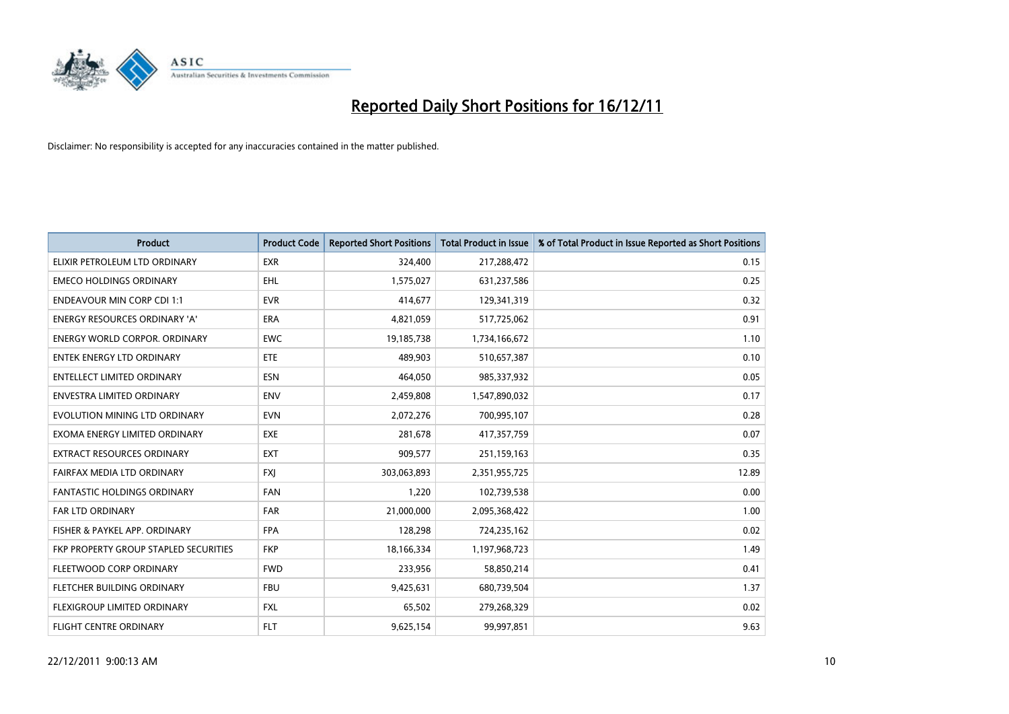

| <b>Product</b>                        | <b>Product Code</b> | <b>Reported Short Positions</b> | <b>Total Product in Issue</b> | % of Total Product in Issue Reported as Short Positions |
|---------------------------------------|---------------------|---------------------------------|-------------------------------|---------------------------------------------------------|
| ELIXIR PETROLEUM LTD ORDINARY         | <b>EXR</b>          | 324,400                         | 217,288,472                   | 0.15                                                    |
| <b>EMECO HOLDINGS ORDINARY</b>        | <b>EHL</b>          | 1,575,027                       | 631,237,586                   | 0.25                                                    |
| <b>ENDEAVOUR MIN CORP CDI 1:1</b>     | <b>EVR</b>          | 414,677                         | 129,341,319                   | 0.32                                                    |
| ENERGY RESOURCES ORDINARY 'A'         | ERA                 | 4,821,059                       | 517,725,062                   | 0.91                                                    |
| <b>ENERGY WORLD CORPOR, ORDINARY</b>  | <b>EWC</b>          | 19,185,738                      | 1,734,166,672                 | 1.10                                                    |
| <b>ENTEK ENERGY LTD ORDINARY</b>      | ETE                 | 489,903                         | 510,657,387                   | 0.10                                                    |
| <b>ENTELLECT LIMITED ORDINARY</b>     | <b>ESN</b>          | 464,050                         | 985,337,932                   | 0.05                                                    |
| <b>ENVESTRA LIMITED ORDINARY</b>      | <b>ENV</b>          | 2,459,808                       | 1,547,890,032                 | 0.17                                                    |
| EVOLUTION MINING LTD ORDINARY         | <b>EVN</b>          | 2,072,276                       | 700,995,107                   | 0.28                                                    |
| EXOMA ENERGY LIMITED ORDINARY         | <b>EXE</b>          | 281,678                         | 417,357,759                   | 0.07                                                    |
| EXTRACT RESOURCES ORDINARY            | <b>EXT</b>          | 909,577                         | 251,159,163                   | 0.35                                                    |
| FAIRFAX MEDIA LTD ORDINARY            | <b>FXI</b>          | 303,063,893                     | 2,351,955,725                 | 12.89                                                   |
| <b>FANTASTIC HOLDINGS ORDINARY</b>    | <b>FAN</b>          | 1,220                           | 102,739,538                   | 0.00                                                    |
| <b>FAR LTD ORDINARY</b>               | <b>FAR</b>          | 21,000,000                      | 2,095,368,422                 | 1.00                                                    |
| FISHER & PAYKEL APP. ORDINARY         | <b>FPA</b>          | 128,298                         | 724,235,162                   | 0.02                                                    |
| FKP PROPERTY GROUP STAPLED SECURITIES | <b>FKP</b>          | 18,166,334                      | 1,197,968,723                 | 1.49                                                    |
| FLEETWOOD CORP ORDINARY               | <b>FWD</b>          | 233,956                         | 58,850,214                    | 0.41                                                    |
| FLETCHER BUILDING ORDINARY            | <b>FBU</b>          | 9,425,631                       | 680,739,504                   | 1.37                                                    |
| FLEXIGROUP LIMITED ORDINARY           | <b>FXL</b>          | 65,502                          | 279,268,329                   | 0.02                                                    |
| <b>FLIGHT CENTRE ORDINARY</b>         | <b>FLT</b>          | 9,625,154                       | 99,997,851                    | 9.63                                                    |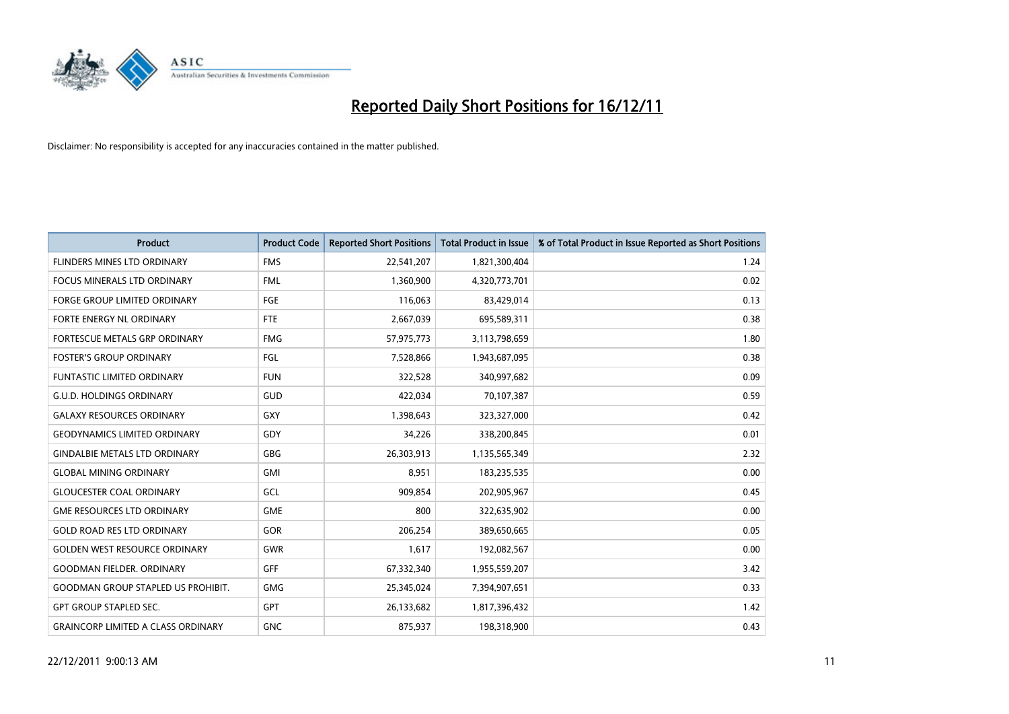

| <b>Product</b>                            | <b>Product Code</b> | <b>Reported Short Positions</b> | <b>Total Product in Issue</b> | % of Total Product in Issue Reported as Short Positions |
|-------------------------------------------|---------------------|---------------------------------|-------------------------------|---------------------------------------------------------|
| FLINDERS MINES LTD ORDINARY               | <b>FMS</b>          | 22,541,207                      | 1,821,300,404                 | 1.24                                                    |
| FOCUS MINERALS LTD ORDINARY               | <b>FML</b>          | 1,360,900                       | 4,320,773,701                 | 0.02                                                    |
| <b>FORGE GROUP LIMITED ORDINARY</b>       | FGE                 | 116,063                         | 83,429,014                    | 0.13                                                    |
| FORTE ENERGY NL ORDINARY                  | FTE                 | 2,667,039                       | 695,589,311                   | 0.38                                                    |
| <b>FORTESCUE METALS GRP ORDINARY</b>      | <b>FMG</b>          | 57,975,773                      | 3,113,798,659                 | 1.80                                                    |
| <b>FOSTER'S GROUP ORDINARY</b>            | FGL                 | 7,528,866                       | 1,943,687,095                 | 0.38                                                    |
| <b>FUNTASTIC LIMITED ORDINARY</b>         | <b>FUN</b>          | 322,528                         | 340,997,682                   | 0.09                                                    |
| <b>G.U.D. HOLDINGS ORDINARY</b>           | GUD                 | 422,034                         | 70,107,387                    | 0.59                                                    |
| <b>GALAXY RESOURCES ORDINARY</b>          | GXY                 | 1,398,643                       | 323,327,000                   | 0.42                                                    |
| <b>GEODYNAMICS LIMITED ORDINARY</b>       | GDY                 | 34,226                          | 338,200,845                   | 0.01                                                    |
| <b>GINDALBIE METALS LTD ORDINARY</b>      | <b>GBG</b>          | 26,303,913                      | 1,135,565,349                 | 2.32                                                    |
| <b>GLOBAL MINING ORDINARY</b>             | <b>GMI</b>          | 8,951                           | 183,235,535                   | 0.00                                                    |
| <b>GLOUCESTER COAL ORDINARY</b>           | GCL                 | 909,854                         | 202,905,967                   | 0.45                                                    |
| <b>GME RESOURCES LTD ORDINARY</b>         | <b>GME</b>          | 800                             | 322,635,902                   | 0.00                                                    |
| <b>GOLD ROAD RES LTD ORDINARY</b>         | GOR                 | 206,254                         | 389,650,665                   | 0.05                                                    |
| <b>GOLDEN WEST RESOURCE ORDINARY</b>      | <b>GWR</b>          | 1,617                           | 192,082,567                   | 0.00                                                    |
| <b>GOODMAN FIELDER, ORDINARY</b>          | <b>GFF</b>          | 67,332,340                      | 1,955,559,207                 | 3.42                                                    |
| <b>GOODMAN GROUP STAPLED US PROHIBIT.</b> | <b>GMG</b>          | 25,345,024                      | 7,394,907,651                 | 0.33                                                    |
| <b>GPT GROUP STAPLED SEC.</b>             | GPT                 | 26,133,682                      | 1,817,396,432                 | 1.42                                                    |
| <b>GRAINCORP LIMITED A CLASS ORDINARY</b> | <b>GNC</b>          | 875,937                         | 198,318,900                   | 0.43                                                    |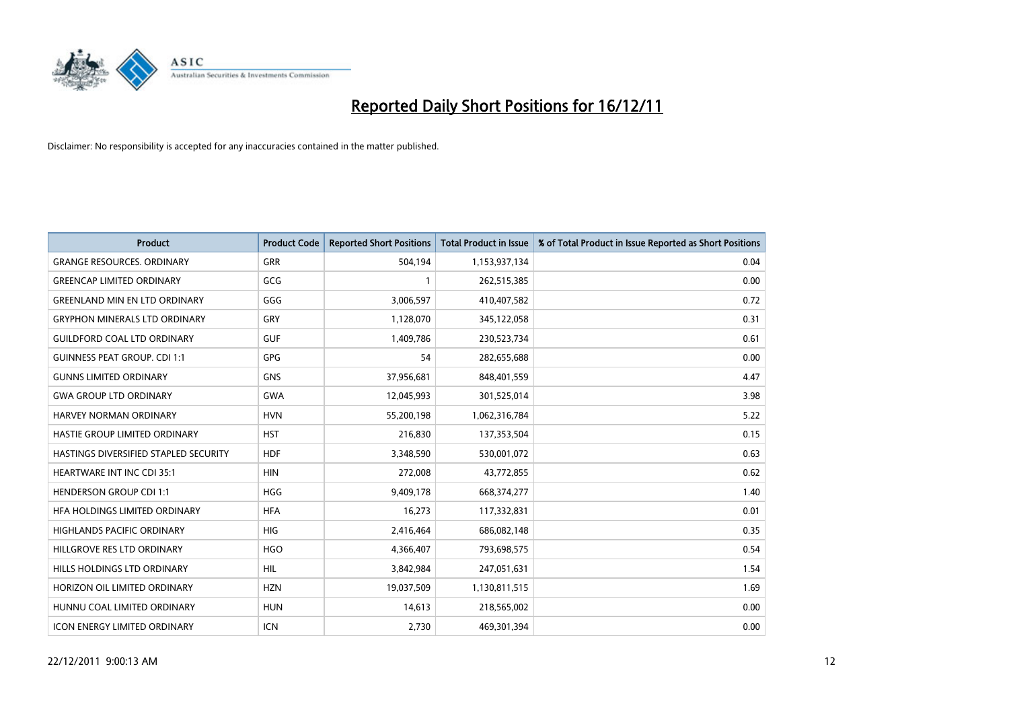

| <b>Product</b>                        | <b>Product Code</b> | <b>Reported Short Positions</b> | <b>Total Product in Issue</b> | % of Total Product in Issue Reported as Short Positions |
|---------------------------------------|---------------------|---------------------------------|-------------------------------|---------------------------------------------------------|
| <b>GRANGE RESOURCES, ORDINARY</b>     | GRR                 | 504,194                         | 1,153,937,134                 | 0.04                                                    |
| <b>GREENCAP LIMITED ORDINARY</b>      | GCG                 |                                 | 262,515,385                   | 0.00                                                    |
| <b>GREENLAND MIN EN LTD ORDINARY</b>  | GGG                 | 3,006,597                       | 410,407,582                   | 0.72                                                    |
| <b>GRYPHON MINERALS LTD ORDINARY</b>  | GRY                 | 1,128,070                       | 345,122,058                   | 0.31                                                    |
| <b>GUILDFORD COAL LTD ORDINARY</b>    | <b>GUF</b>          | 1,409,786                       | 230,523,734                   | 0.61                                                    |
| <b>GUINNESS PEAT GROUP. CDI 1:1</b>   | <b>GPG</b>          | 54                              | 282,655,688                   | 0.00                                                    |
| <b>GUNNS LIMITED ORDINARY</b>         | <b>GNS</b>          | 37,956,681                      | 848,401,559                   | 4.47                                                    |
| <b>GWA GROUP LTD ORDINARY</b>         | <b>GWA</b>          | 12,045,993                      | 301,525,014                   | 3.98                                                    |
| HARVEY NORMAN ORDINARY                | <b>HVN</b>          | 55,200,198                      | 1,062,316,784                 | 5.22                                                    |
| HASTIE GROUP LIMITED ORDINARY         | <b>HST</b>          | 216,830                         | 137,353,504                   | 0.15                                                    |
| HASTINGS DIVERSIFIED STAPLED SECURITY | <b>HDF</b>          | 3,348,590                       | 530,001,072                   | 0.63                                                    |
| <b>HEARTWARE INT INC CDI 35:1</b>     | <b>HIN</b>          | 272,008                         | 43,772,855                    | 0.62                                                    |
| <b>HENDERSON GROUP CDI 1:1</b>        | <b>HGG</b>          | 9,409,178                       | 668,374,277                   | 1.40                                                    |
| HFA HOLDINGS LIMITED ORDINARY         | <b>HFA</b>          | 16,273                          | 117,332,831                   | 0.01                                                    |
| <b>HIGHLANDS PACIFIC ORDINARY</b>     | <b>HIG</b>          | 2,416,464                       | 686,082,148                   | 0.35                                                    |
| HILLGROVE RES LTD ORDINARY            | <b>HGO</b>          | 4,366,407                       | 793,698,575                   | 0.54                                                    |
| HILLS HOLDINGS LTD ORDINARY           | <b>HIL</b>          | 3,842,984                       | 247,051,631                   | 1.54                                                    |
| HORIZON OIL LIMITED ORDINARY          | <b>HZN</b>          | 19,037,509                      | 1,130,811,515                 | 1.69                                                    |
| HUNNU COAL LIMITED ORDINARY           | <b>HUN</b>          | 14,613                          | 218,565,002                   | 0.00                                                    |
| ICON ENERGY LIMITED ORDINARY          | <b>ICN</b>          | 2,730                           | 469,301,394                   | 0.00                                                    |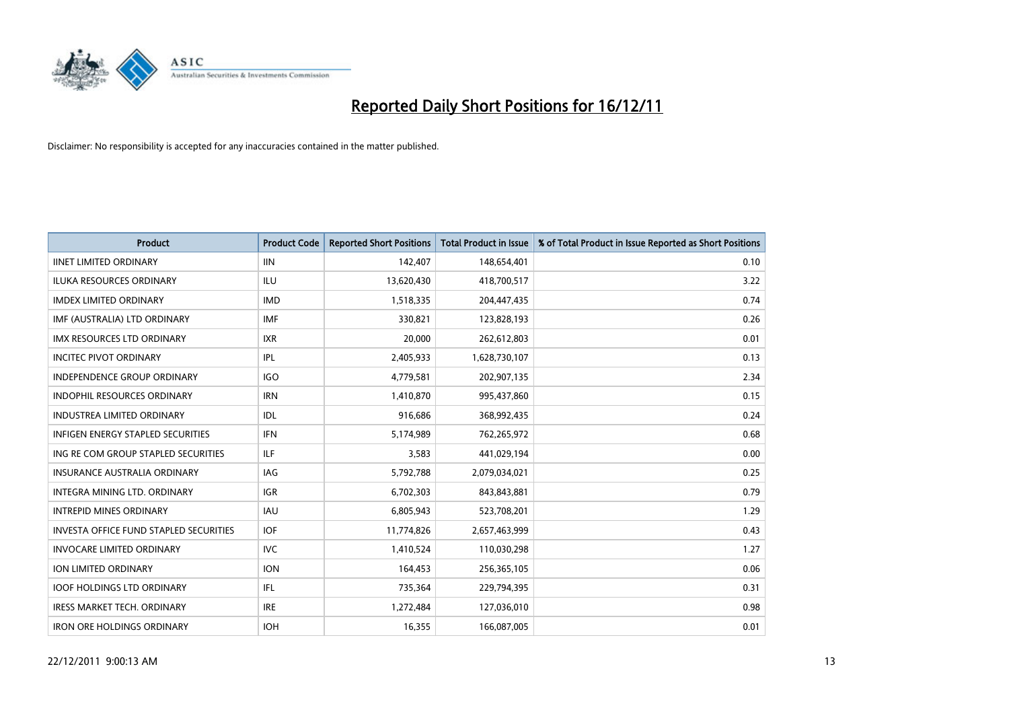

| <b>Product</b>                                | <b>Product Code</b> | <b>Reported Short Positions</b> | <b>Total Product in Issue</b> | % of Total Product in Issue Reported as Short Positions |
|-----------------------------------------------|---------------------|---------------------------------|-------------------------------|---------------------------------------------------------|
| <b>IINET LIMITED ORDINARY</b>                 | <b>IIN</b>          | 142,407                         | 148,654,401                   | 0.10                                                    |
| ILUKA RESOURCES ORDINARY                      | ILU                 | 13,620,430                      | 418,700,517                   | 3.22                                                    |
| <b>IMDEX LIMITED ORDINARY</b>                 | <b>IMD</b>          | 1,518,335                       | 204,447,435                   | 0.74                                                    |
| IMF (AUSTRALIA) LTD ORDINARY                  | <b>IMF</b>          | 330,821                         | 123,828,193                   | 0.26                                                    |
| <b>IMX RESOURCES LTD ORDINARY</b>             | <b>IXR</b>          | 20,000                          | 262,612,803                   | 0.01                                                    |
| <b>INCITEC PIVOT ORDINARY</b>                 | <b>IPL</b>          | 2,405,933                       | 1,628,730,107                 | 0.13                                                    |
| INDEPENDENCE GROUP ORDINARY                   | <b>IGO</b>          | 4,779,581                       | 202,907,135                   | 2.34                                                    |
| <b>INDOPHIL RESOURCES ORDINARY</b>            | <b>IRN</b>          | 1,410,870                       | 995,437,860                   | 0.15                                                    |
| <b>INDUSTREA LIMITED ORDINARY</b>             | IDL                 | 916,686                         | 368,992,435                   | 0.24                                                    |
| <b>INFIGEN ENERGY STAPLED SECURITIES</b>      | <b>IFN</b>          | 5,174,989                       | 762,265,972                   | 0.68                                                    |
| ING RE COM GROUP STAPLED SECURITIES           | ILF.                | 3,583                           | 441,029,194                   | 0.00                                                    |
| <b>INSURANCE AUSTRALIA ORDINARY</b>           | IAG                 | 5,792,788                       | 2,079,034,021                 | 0.25                                                    |
| <b>INTEGRA MINING LTD, ORDINARY</b>           | <b>IGR</b>          | 6,702,303                       | 843,843,881                   | 0.79                                                    |
| <b>INTREPID MINES ORDINARY</b>                | <b>IAU</b>          | 6,805,943                       | 523,708,201                   | 1.29                                                    |
| <b>INVESTA OFFICE FUND STAPLED SECURITIES</b> | <b>IOF</b>          | 11,774,826                      | 2,657,463,999                 | 0.43                                                    |
| <b>INVOCARE LIMITED ORDINARY</b>              | <b>IVC</b>          | 1,410,524                       | 110,030,298                   | 1.27                                                    |
| <b>ION LIMITED ORDINARY</b>                   | <b>ION</b>          | 164,453                         | 256,365,105                   | 0.06                                                    |
| <b>IOOF HOLDINGS LTD ORDINARY</b>             | <b>IFL</b>          | 735,364                         | 229,794,395                   | 0.31                                                    |
| <b>IRESS MARKET TECH. ORDINARY</b>            | <b>IRE</b>          | 1,272,484                       | 127,036,010                   | 0.98                                                    |
| <b>IRON ORE HOLDINGS ORDINARY</b>             | <b>IOH</b>          | 16,355                          | 166,087,005                   | 0.01                                                    |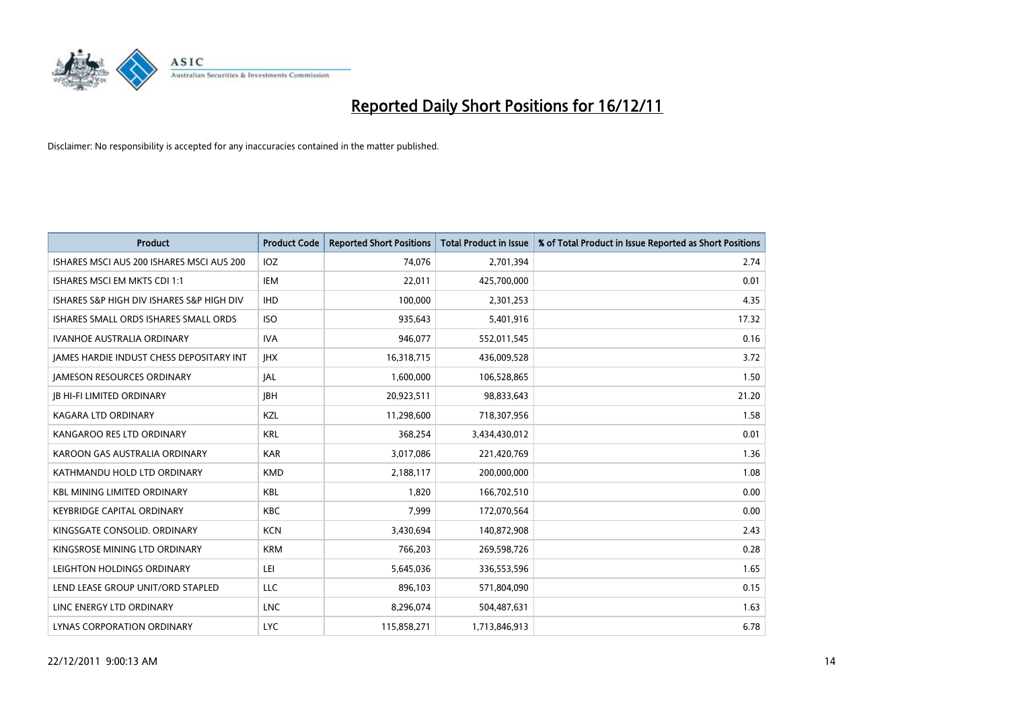

| <b>Product</b>                            | <b>Product Code</b> | <b>Reported Short Positions</b> | <b>Total Product in Issue</b> | % of Total Product in Issue Reported as Short Positions |
|-------------------------------------------|---------------------|---------------------------------|-------------------------------|---------------------------------------------------------|
| ISHARES MSCI AUS 200 ISHARES MSCI AUS 200 | <b>IOZ</b>          | 74,076                          | 2,701,394                     | 2.74                                                    |
| ISHARES MSCI EM MKTS CDI 1:1              | IEM                 | 22,011                          | 425,700,000                   | 0.01                                                    |
| ISHARES S&P HIGH DIV ISHARES S&P HIGH DIV | <b>IHD</b>          | 100,000                         | 2,301,253                     | 4.35                                                    |
| ISHARES SMALL ORDS ISHARES SMALL ORDS     | <b>ISO</b>          | 935,643                         | 5,401,916                     | 17.32                                                   |
| <b>IVANHOE AUSTRALIA ORDINARY</b>         | <b>IVA</b>          | 946,077                         | 552,011,545                   | 0.16                                                    |
| JAMES HARDIE INDUST CHESS DEPOSITARY INT  | <b>IHX</b>          | 16,318,715                      | 436,009,528                   | 3.72                                                    |
| <b>JAMESON RESOURCES ORDINARY</b>         | <b>JAL</b>          | 1,600,000                       | 106,528,865                   | 1.50                                                    |
| <b>JB HI-FI LIMITED ORDINARY</b>          | <b>IBH</b>          | 20,923,511                      | 98,833,643                    | 21.20                                                   |
| <b>KAGARA LTD ORDINARY</b>                | KZL                 | 11,298,600                      | 718,307,956                   | 1.58                                                    |
| KANGAROO RES LTD ORDINARY                 | <b>KRL</b>          | 368,254                         | 3,434,430,012                 | 0.01                                                    |
| KAROON GAS AUSTRALIA ORDINARY             | <b>KAR</b>          | 3,017,086                       | 221,420,769                   | 1.36                                                    |
| KATHMANDU HOLD LTD ORDINARY               | <b>KMD</b>          | 2,188,117                       | 200,000,000                   | 1.08                                                    |
| <b>KBL MINING LIMITED ORDINARY</b>        | <b>KBL</b>          | 1,820                           | 166,702,510                   | 0.00                                                    |
| <b>KEYBRIDGE CAPITAL ORDINARY</b>         | <b>KBC</b>          | 7,999                           | 172,070,564                   | 0.00                                                    |
| KINGSGATE CONSOLID. ORDINARY              | <b>KCN</b>          | 3,430,694                       | 140,872,908                   | 2.43                                                    |
| KINGSROSE MINING LTD ORDINARY             | <b>KRM</b>          | 766,203                         | 269,598,726                   | 0.28                                                    |
| LEIGHTON HOLDINGS ORDINARY                | LEI                 | 5,645,036                       | 336,553,596                   | 1.65                                                    |
| LEND LEASE GROUP UNIT/ORD STAPLED         | <b>LLC</b>          | 896,103                         | 571,804,090                   | 0.15                                                    |
| LINC ENERGY LTD ORDINARY                  | <b>LNC</b>          | 8,296,074                       | 504,487,631                   | 1.63                                                    |
| LYNAS CORPORATION ORDINARY                | <b>LYC</b>          | 115,858,271                     | 1,713,846,913                 | 6.78                                                    |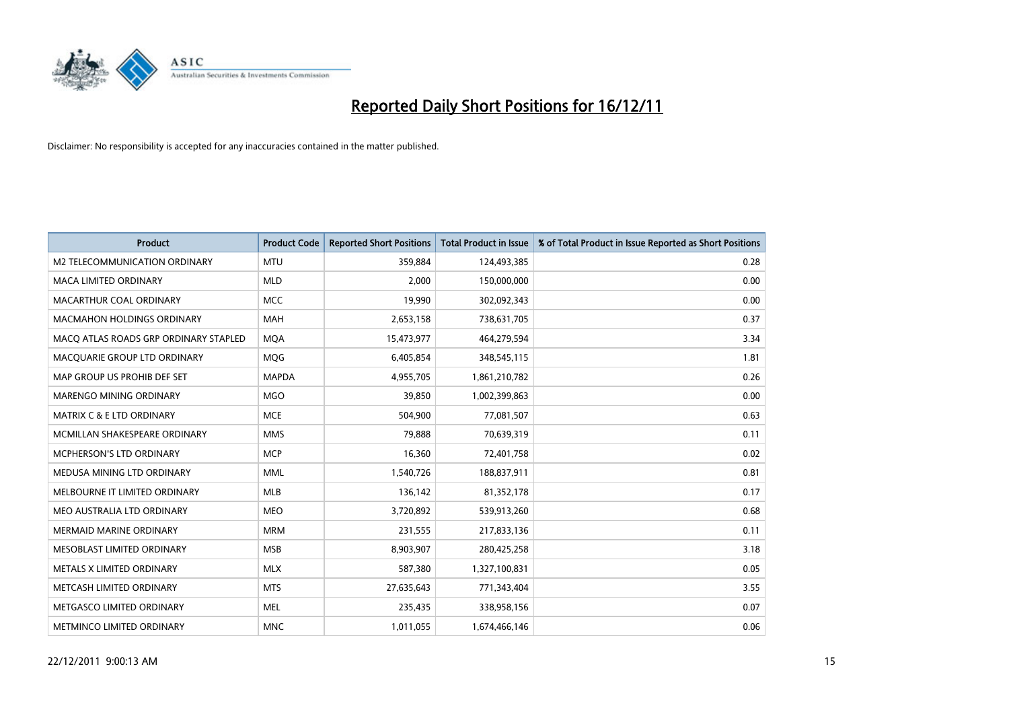

| <b>Product</b>                        | <b>Product Code</b> | <b>Reported Short Positions</b> | <b>Total Product in Issue</b> | % of Total Product in Issue Reported as Short Positions |
|---------------------------------------|---------------------|---------------------------------|-------------------------------|---------------------------------------------------------|
| M2 TELECOMMUNICATION ORDINARY         | <b>MTU</b>          | 359,884                         | 124,493,385                   | 0.28                                                    |
| MACA LIMITED ORDINARY                 | <b>MLD</b>          | 2,000                           | 150,000,000                   | 0.00                                                    |
| MACARTHUR COAL ORDINARY               | <b>MCC</b>          | 19,990                          | 302,092,343                   | 0.00                                                    |
| MACMAHON HOLDINGS ORDINARY            | <b>MAH</b>          | 2,653,158                       | 738,631,705                   | 0.37                                                    |
| MACQ ATLAS ROADS GRP ORDINARY STAPLED | <b>MOA</b>          | 15,473,977                      | 464,279,594                   | 3.34                                                    |
| MACQUARIE GROUP LTD ORDINARY          | MQG                 | 6,405,854                       | 348,545,115                   | 1.81                                                    |
| MAP GROUP US PROHIB DEF SET           | <b>MAPDA</b>        | 4,955,705                       | 1,861,210,782                 | 0.26                                                    |
| <b>MARENGO MINING ORDINARY</b>        | <b>MGO</b>          | 39,850                          | 1,002,399,863                 | 0.00                                                    |
| <b>MATRIX C &amp; E LTD ORDINARY</b>  | <b>MCE</b>          | 504,900                         | 77,081,507                    | 0.63                                                    |
| MCMILLAN SHAKESPEARE ORDINARY         | <b>MMS</b>          | 79,888                          | 70,639,319                    | 0.11                                                    |
| MCPHERSON'S LTD ORDINARY              | <b>MCP</b>          | 16,360                          | 72,401,758                    | 0.02                                                    |
| MEDUSA MINING LTD ORDINARY            | <b>MML</b>          | 1,540,726                       | 188,837,911                   | 0.81                                                    |
| MELBOURNE IT LIMITED ORDINARY         | <b>MLB</b>          | 136,142                         | 81,352,178                    | 0.17                                                    |
| MEO AUSTRALIA LTD ORDINARY            | <b>MEO</b>          | 3,720,892                       | 539,913,260                   | 0.68                                                    |
| <b>MERMAID MARINE ORDINARY</b>        | <b>MRM</b>          | 231,555                         | 217,833,136                   | 0.11                                                    |
| MESOBLAST LIMITED ORDINARY            | <b>MSB</b>          | 8,903,907                       | 280,425,258                   | 3.18                                                    |
| METALS X LIMITED ORDINARY             | <b>MLX</b>          | 587,380                         | 1,327,100,831                 | 0.05                                                    |
| METCASH LIMITED ORDINARY              | <b>MTS</b>          | 27,635,643                      | 771,343,404                   | 3.55                                                    |
| METGASCO LIMITED ORDINARY             | <b>MEL</b>          | 235,435                         | 338,958,156                   | 0.07                                                    |
| <b>METMINCO LIMITED ORDINARY</b>      | <b>MNC</b>          | 1,011,055                       | 1,674,466,146                 | 0.06                                                    |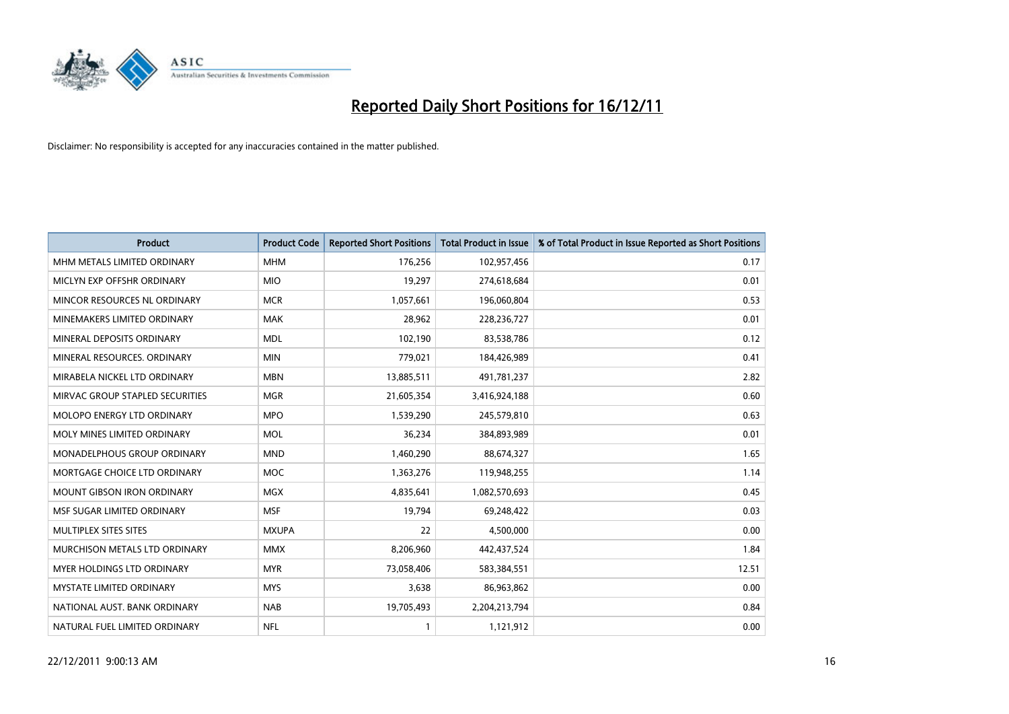

| <b>Product</b>                    | <b>Product Code</b> | <b>Reported Short Positions</b> | <b>Total Product in Issue</b> | % of Total Product in Issue Reported as Short Positions |
|-----------------------------------|---------------------|---------------------------------|-------------------------------|---------------------------------------------------------|
| MHM METALS LIMITED ORDINARY       | <b>MHM</b>          | 176,256                         | 102,957,456                   | 0.17                                                    |
| MICLYN EXP OFFSHR ORDINARY        | <b>MIO</b>          | 19,297                          | 274,618,684                   | 0.01                                                    |
| MINCOR RESOURCES NL ORDINARY      | <b>MCR</b>          | 1,057,661                       | 196,060,804                   | 0.53                                                    |
| MINEMAKERS LIMITED ORDINARY       | <b>MAK</b>          | 28,962                          | 228,236,727                   | 0.01                                                    |
| MINERAL DEPOSITS ORDINARY         | <b>MDL</b>          | 102,190                         | 83,538,786                    | 0.12                                                    |
| MINERAL RESOURCES, ORDINARY       | <b>MIN</b>          | 779,021                         | 184,426,989                   | 0.41                                                    |
| MIRABELA NICKEL LTD ORDINARY      | <b>MBN</b>          | 13,885,511                      | 491,781,237                   | 2.82                                                    |
| MIRVAC GROUP STAPLED SECURITIES   | <b>MGR</b>          | 21,605,354                      | 3,416,924,188                 | 0.60                                                    |
| MOLOPO ENERGY LTD ORDINARY        | <b>MPO</b>          | 1,539,290                       | 245,579,810                   | 0.63                                                    |
| MOLY MINES LIMITED ORDINARY       | <b>MOL</b>          | 36,234                          | 384,893,989                   | 0.01                                                    |
| MONADELPHOUS GROUP ORDINARY       | <b>MND</b>          | 1,460,290                       | 88,674,327                    | 1.65                                                    |
| MORTGAGE CHOICE LTD ORDINARY      | <b>MOC</b>          | 1,363,276                       | 119,948,255                   | 1.14                                                    |
| MOUNT GIBSON IRON ORDINARY        | <b>MGX</b>          | 4,835,641                       | 1,082,570,693                 | 0.45                                                    |
| MSF SUGAR LIMITED ORDINARY        | <b>MSF</b>          | 19,794                          | 69,248,422                    | 0.03                                                    |
| MULTIPLEX SITES SITES             | <b>MXUPA</b>        | 22                              | 4,500,000                     | 0.00                                                    |
| MURCHISON METALS LTD ORDINARY     | <b>MMX</b>          | 8,206,960                       | 442,437,524                   | 1.84                                                    |
| <b>MYER HOLDINGS LTD ORDINARY</b> | <b>MYR</b>          | 73,058,406                      | 583,384,551                   | 12.51                                                   |
| MYSTATE LIMITED ORDINARY          | <b>MYS</b>          | 3,638                           | 86,963,862                    | 0.00                                                    |
| NATIONAL AUST, BANK ORDINARY      | <b>NAB</b>          | 19,705,493                      | 2,204,213,794                 | 0.84                                                    |
| NATURAL FUEL LIMITED ORDINARY     | <b>NFL</b>          | 1                               | 1,121,912                     | 0.00                                                    |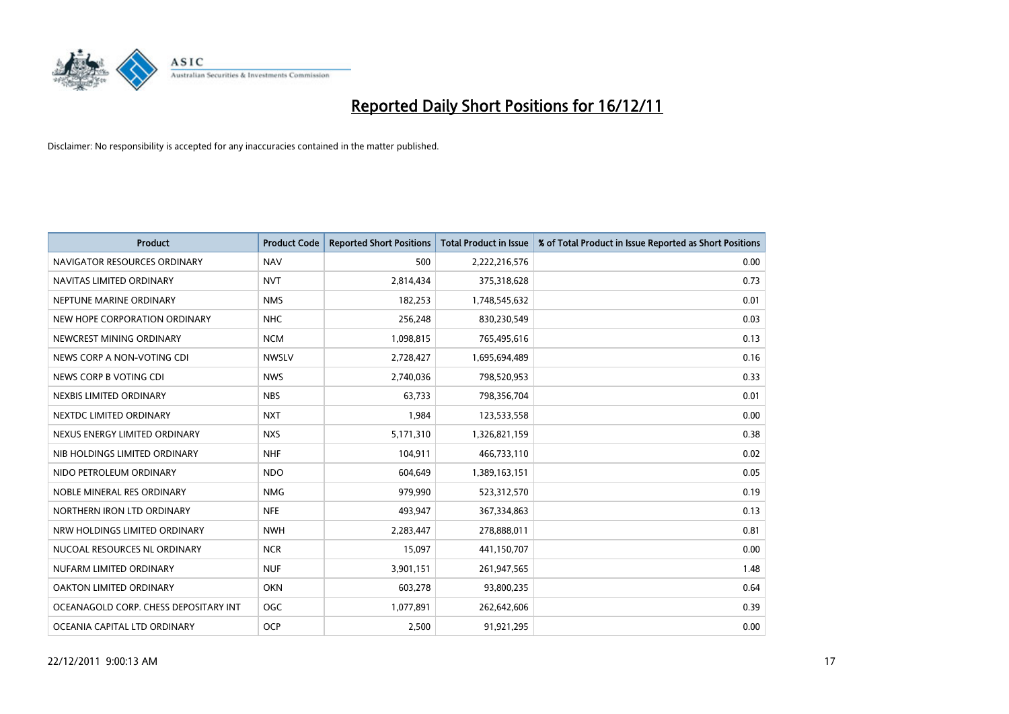

| <b>Product</b>                        | <b>Product Code</b> | <b>Reported Short Positions</b> | <b>Total Product in Issue</b> | % of Total Product in Issue Reported as Short Positions |
|---------------------------------------|---------------------|---------------------------------|-------------------------------|---------------------------------------------------------|
| NAVIGATOR RESOURCES ORDINARY          | <b>NAV</b>          | 500                             | 2,222,216,576                 | 0.00                                                    |
| NAVITAS LIMITED ORDINARY              | <b>NVT</b>          | 2,814,434                       | 375,318,628                   | 0.73                                                    |
| NEPTUNE MARINE ORDINARY               | <b>NMS</b>          | 182,253                         | 1,748,545,632                 | 0.01                                                    |
| NEW HOPE CORPORATION ORDINARY         | <b>NHC</b>          | 256,248                         | 830,230,549                   | 0.03                                                    |
| NEWCREST MINING ORDINARY              | <b>NCM</b>          | 1,098,815                       | 765,495,616                   | 0.13                                                    |
| NEWS CORP A NON-VOTING CDI            | <b>NWSLV</b>        | 2,728,427                       | 1,695,694,489                 | 0.16                                                    |
| NEWS CORP B VOTING CDI                | <b>NWS</b>          | 2,740,036                       | 798,520,953                   | 0.33                                                    |
| NEXBIS LIMITED ORDINARY               | <b>NBS</b>          | 63,733                          | 798,356,704                   | 0.01                                                    |
| NEXTDC LIMITED ORDINARY               | <b>NXT</b>          | 1,984                           | 123,533,558                   | 0.00                                                    |
| NEXUS ENERGY LIMITED ORDINARY         | <b>NXS</b>          | 5,171,310                       | 1,326,821,159                 | 0.38                                                    |
| NIB HOLDINGS LIMITED ORDINARY         | <b>NHF</b>          | 104,911                         | 466,733,110                   | 0.02                                                    |
| NIDO PETROLEUM ORDINARY               | <b>NDO</b>          | 604,649                         | 1,389,163,151                 | 0.05                                                    |
| NOBLE MINERAL RES ORDINARY            | <b>NMG</b>          | 979,990                         | 523,312,570                   | 0.19                                                    |
| NORTHERN IRON LTD ORDINARY            | <b>NFE</b>          | 493,947                         | 367,334,863                   | 0.13                                                    |
| NRW HOLDINGS LIMITED ORDINARY         | <b>NWH</b>          | 2,283,447                       | 278,888,011                   | 0.81                                                    |
| NUCOAL RESOURCES NL ORDINARY          | <b>NCR</b>          | 15,097                          | 441,150,707                   | 0.00                                                    |
| NUFARM LIMITED ORDINARY               | <b>NUF</b>          | 3,901,151                       | 261,947,565                   | 1.48                                                    |
| OAKTON LIMITED ORDINARY               | <b>OKN</b>          | 603,278                         | 93,800,235                    | 0.64                                                    |
| OCEANAGOLD CORP. CHESS DEPOSITARY INT | <b>OGC</b>          | 1,077,891                       | 262,642,606                   | 0.39                                                    |
| OCEANIA CAPITAL LTD ORDINARY          | <b>OCP</b>          | 2.500                           | 91,921,295                    | 0.00                                                    |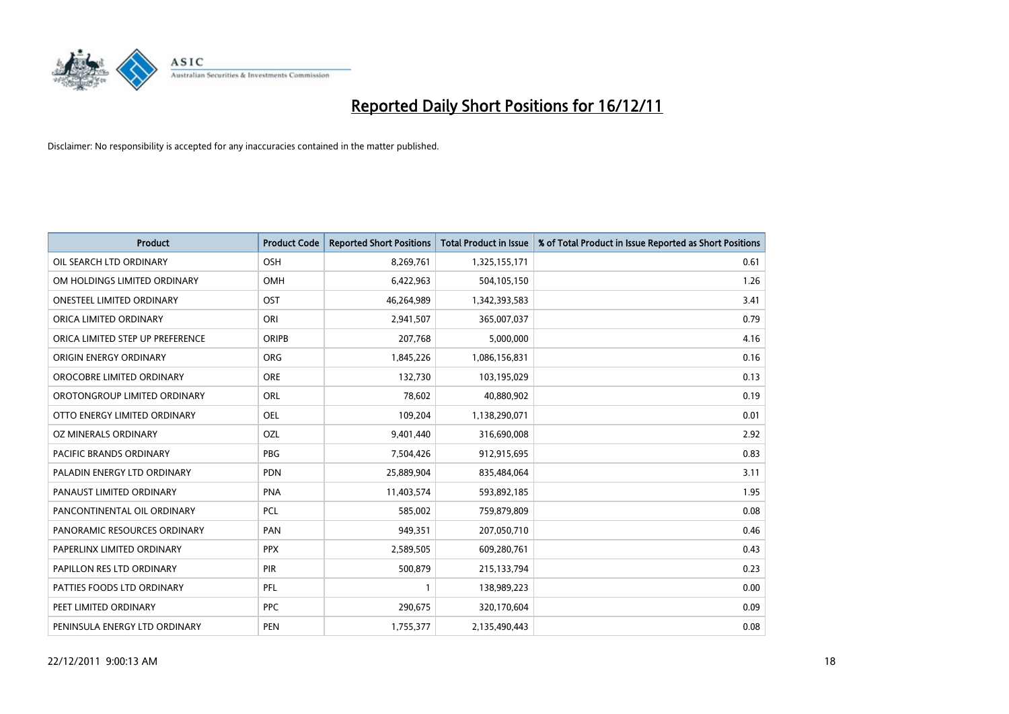

| <b>Product</b>                   | <b>Product Code</b> | <b>Reported Short Positions</b> | <b>Total Product in Issue</b> | % of Total Product in Issue Reported as Short Positions |
|----------------------------------|---------------------|---------------------------------|-------------------------------|---------------------------------------------------------|
| OIL SEARCH LTD ORDINARY          | OSH                 | 8,269,761                       | 1,325,155,171                 | 0.61                                                    |
| OM HOLDINGS LIMITED ORDINARY     | <b>OMH</b>          | 6,422,963                       | 504,105,150                   | 1.26                                                    |
| <b>ONESTEEL LIMITED ORDINARY</b> | OST                 | 46,264,989                      | 1,342,393,583                 | 3.41                                                    |
| ORICA LIMITED ORDINARY           | ORI                 | 2,941,507                       | 365,007,037                   | 0.79                                                    |
| ORICA LIMITED STEP UP PREFERENCE | <b>ORIPB</b>        | 207,768                         | 5,000,000                     | 4.16                                                    |
| ORIGIN ENERGY ORDINARY           | <b>ORG</b>          | 1,845,226                       | 1,086,156,831                 | 0.16                                                    |
| OROCOBRE LIMITED ORDINARY        | <b>ORE</b>          | 132,730                         | 103,195,029                   | 0.13                                                    |
| OROTONGROUP LIMITED ORDINARY     | ORL                 | 78,602                          | 40,880,902                    | 0.19                                                    |
| OTTO ENERGY LIMITED ORDINARY     | OEL                 | 109,204                         | 1,138,290,071                 | 0.01                                                    |
| OZ MINERALS ORDINARY             | OZL                 | 9,401,440                       | 316,690,008                   | 2.92                                                    |
| PACIFIC BRANDS ORDINARY          | <b>PBG</b>          | 7,504,426                       | 912,915,695                   | 0.83                                                    |
| PALADIN ENERGY LTD ORDINARY      | <b>PDN</b>          | 25,889,904                      | 835,484,064                   | 3.11                                                    |
| PANAUST LIMITED ORDINARY         | <b>PNA</b>          | 11,403,574                      | 593,892,185                   | 1.95                                                    |
| PANCONTINENTAL OIL ORDINARY      | PCL                 | 585,002                         | 759,879,809                   | 0.08                                                    |
| PANORAMIC RESOURCES ORDINARY     | PAN                 | 949,351                         | 207,050,710                   | 0.46                                                    |
| PAPERLINX LIMITED ORDINARY       | <b>PPX</b>          | 2,589,505                       | 609,280,761                   | 0.43                                                    |
| PAPILLON RES LTD ORDINARY        | PIR                 | 500,879                         | 215,133,794                   | 0.23                                                    |
| PATTIES FOODS LTD ORDINARY       | PFL                 |                                 | 138,989,223                   | 0.00                                                    |
| PEET LIMITED ORDINARY            | <b>PPC</b>          | 290,675                         | 320,170,604                   | 0.09                                                    |
| PENINSULA ENERGY LTD ORDINARY    | <b>PEN</b>          | 1,755,377                       | 2,135,490,443                 | 0.08                                                    |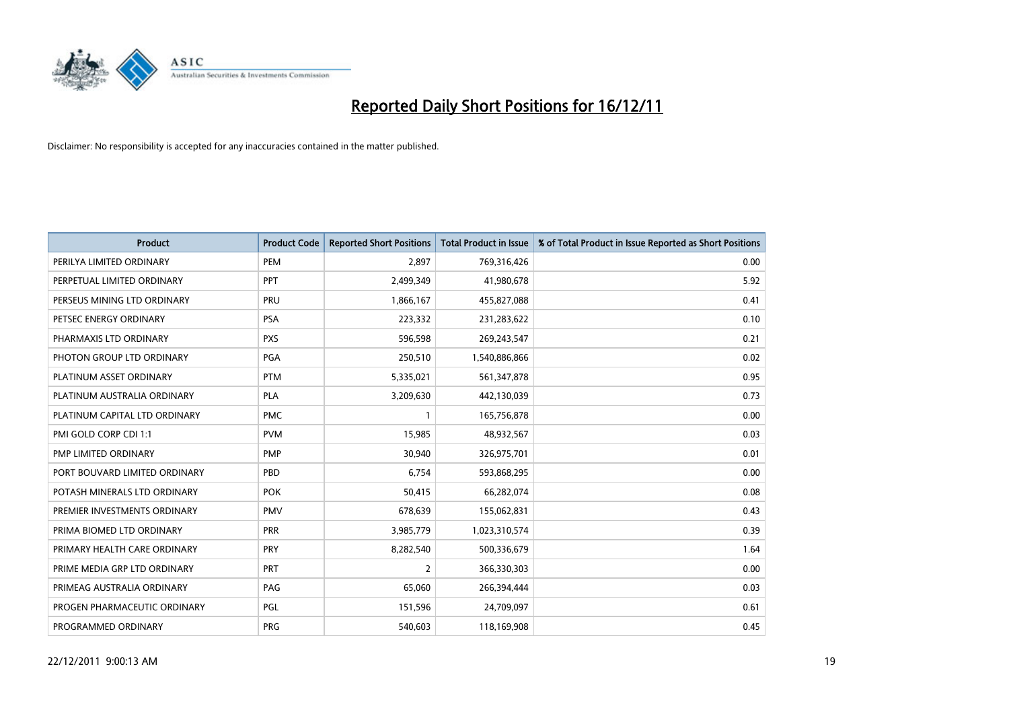

| <b>Product</b>                | <b>Product Code</b> | <b>Reported Short Positions</b> | <b>Total Product in Issue</b> | % of Total Product in Issue Reported as Short Positions |
|-------------------------------|---------------------|---------------------------------|-------------------------------|---------------------------------------------------------|
| PERILYA LIMITED ORDINARY      | PEM                 | 2.897                           | 769,316,426                   | 0.00                                                    |
| PERPETUAL LIMITED ORDINARY    | <b>PPT</b>          | 2,499,349                       | 41,980,678                    | 5.92                                                    |
| PERSEUS MINING LTD ORDINARY   | PRU                 | 1,866,167                       | 455,827,088                   | 0.41                                                    |
| PETSEC ENERGY ORDINARY        | <b>PSA</b>          | 223,332                         | 231,283,622                   | 0.10                                                    |
| PHARMAXIS LTD ORDINARY        | <b>PXS</b>          | 596,598                         | 269,243,547                   | 0.21                                                    |
| PHOTON GROUP LTD ORDINARY     | PGA                 | 250,510                         | 1,540,886,866                 | 0.02                                                    |
| PLATINUM ASSET ORDINARY       | <b>PTM</b>          | 5,335,021                       | 561,347,878                   | 0.95                                                    |
| PLATINUM AUSTRALIA ORDINARY   | <b>PLA</b>          | 3,209,630                       | 442,130,039                   | 0.73                                                    |
| PLATINUM CAPITAL LTD ORDINARY | <b>PMC</b>          |                                 | 165,756,878                   | 0.00                                                    |
| PMI GOLD CORP CDI 1:1         | <b>PVM</b>          | 15,985                          | 48,932,567                    | 0.03                                                    |
| PMP LIMITED ORDINARY          | <b>PMP</b>          | 30,940                          | 326,975,701                   | 0.01                                                    |
| PORT BOUVARD LIMITED ORDINARY | PBD                 | 6,754                           | 593,868,295                   | 0.00                                                    |
| POTASH MINERALS LTD ORDINARY  | <b>POK</b>          | 50,415                          | 66,282,074                    | 0.08                                                    |
| PREMIER INVESTMENTS ORDINARY  | <b>PMV</b>          | 678,639                         | 155,062,831                   | 0.43                                                    |
| PRIMA BIOMED LTD ORDINARY     | <b>PRR</b>          | 3,985,779                       | 1,023,310,574                 | 0.39                                                    |
| PRIMARY HEALTH CARE ORDINARY  | <b>PRY</b>          | 8,282,540                       | 500,336,679                   | 1.64                                                    |
| PRIME MEDIA GRP LTD ORDINARY  | <b>PRT</b>          | $\overline{2}$                  | 366,330,303                   | 0.00                                                    |
| PRIMEAG AUSTRALIA ORDINARY    | PAG                 | 65,060                          | 266,394,444                   | 0.03                                                    |
| PROGEN PHARMACEUTIC ORDINARY  | PGL                 | 151,596                         | 24,709,097                    | 0.61                                                    |
| PROGRAMMED ORDINARY           | <b>PRG</b>          | 540,603                         | 118,169,908                   | 0.45                                                    |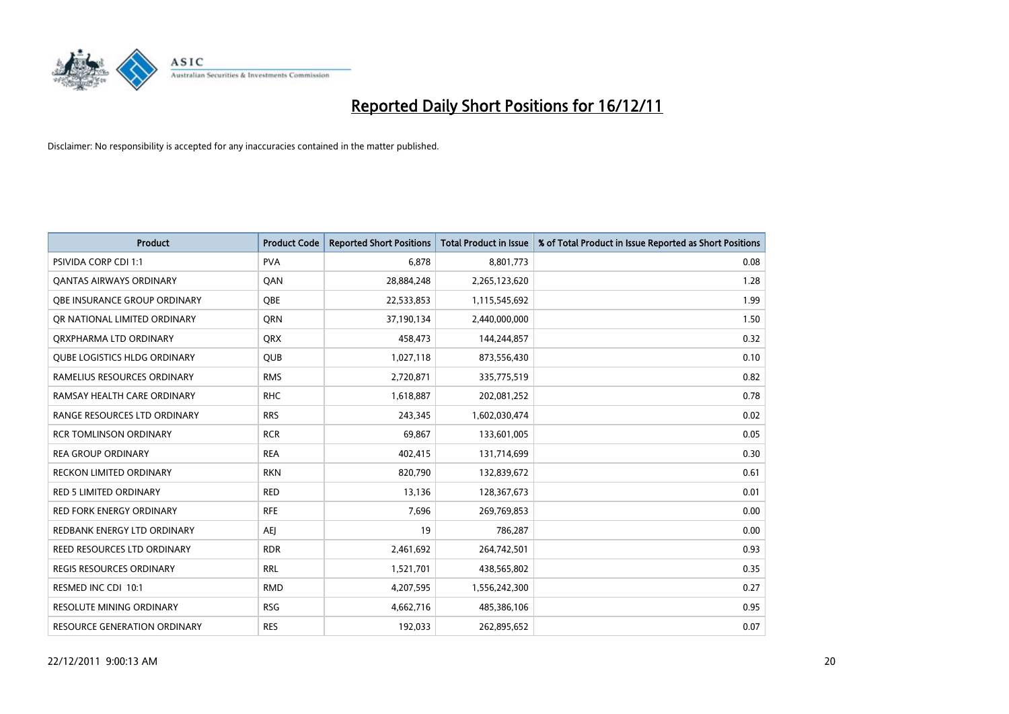

| <b>Product</b>                      | <b>Product Code</b> | <b>Reported Short Positions</b> | <b>Total Product in Issue</b> | % of Total Product in Issue Reported as Short Positions |
|-------------------------------------|---------------------|---------------------------------|-------------------------------|---------------------------------------------------------|
| <b>PSIVIDA CORP CDI 1:1</b>         | <b>PVA</b>          | 6.878                           | 8,801,773                     | 0.08                                                    |
| <b>QANTAS AIRWAYS ORDINARY</b>      | QAN                 | 28,884,248                      | 2,265,123,620                 | 1.28                                                    |
| OBE INSURANCE GROUP ORDINARY        | OBE                 | 22,533,853                      | 1,115,545,692                 | 1.99                                                    |
| OR NATIONAL LIMITED ORDINARY        | <b>ORN</b>          | 37,190,134                      | 2,440,000,000                 | 1.50                                                    |
| ORXPHARMA LTD ORDINARY              | <b>ORX</b>          | 458,473                         | 144,244,857                   | 0.32                                                    |
| <b>QUBE LOGISTICS HLDG ORDINARY</b> | <b>QUB</b>          | 1,027,118                       | 873,556,430                   | 0.10                                                    |
| RAMELIUS RESOURCES ORDINARY         | <b>RMS</b>          | 2,720,871                       | 335,775,519                   | 0.82                                                    |
| RAMSAY HEALTH CARE ORDINARY         | <b>RHC</b>          | 1,618,887                       | 202,081,252                   | 0.78                                                    |
| RANGE RESOURCES LTD ORDINARY        | <b>RRS</b>          | 243,345                         | 1,602,030,474                 | 0.02                                                    |
| <b>RCR TOMLINSON ORDINARY</b>       | <b>RCR</b>          | 69,867                          | 133,601,005                   | 0.05                                                    |
| <b>REA GROUP ORDINARY</b>           | <b>REA</b>          | 402,415                         | 131,714,699                   | 0.30                                                    |
| RECKON LIMITED ORDINARY             | <b>RKN</b>          | 820,790                         | 132,839,672                   | 0.61                                                    |
| <b>RED 5 LIMITED ORDINARY</b>       | <b>RED</b>          | 13,136                          | 128,367,673                   | 0.01                                                    |
| <b>RED FORK ENERGY ORDINARY</b>     | <b>RFE</b>          | 7,696                           | 269,769,853                   | 0.00                                                    |
| REDBANK ENERGY LTD ORDINARY         | <b>AEI</b>          | 19                              | 786,287                       | 0.00                                                    |
| <b>REED RESOURCES LTD ORDINARY</b>  | <b>RDR</b>          | 2,461,692                       | 264,742,501                   | 0.93                                                    |
| REGIS RESOURCES ORDINARY            | <b>RRL</b>          | 1,521,701                       | 438,565,802                   | 0.35                                                    |
| RESMED INC CDI 10:1                 | <b>RMD</b>          | 4,207,595                       | 1,556,242,300                 | 0.27                                                    |
| <b>RESOLUTE MINING ORDINARY</b>     | <b>RSG</b>          | 4,662,716                       | 485,386,106                   | 0.95                                                    |
| <b>RESOURCE GENERATION ORDINARY</b> | <b>RES</b>          | 192.033                         | 262,895,652                   | 0.07                                                    |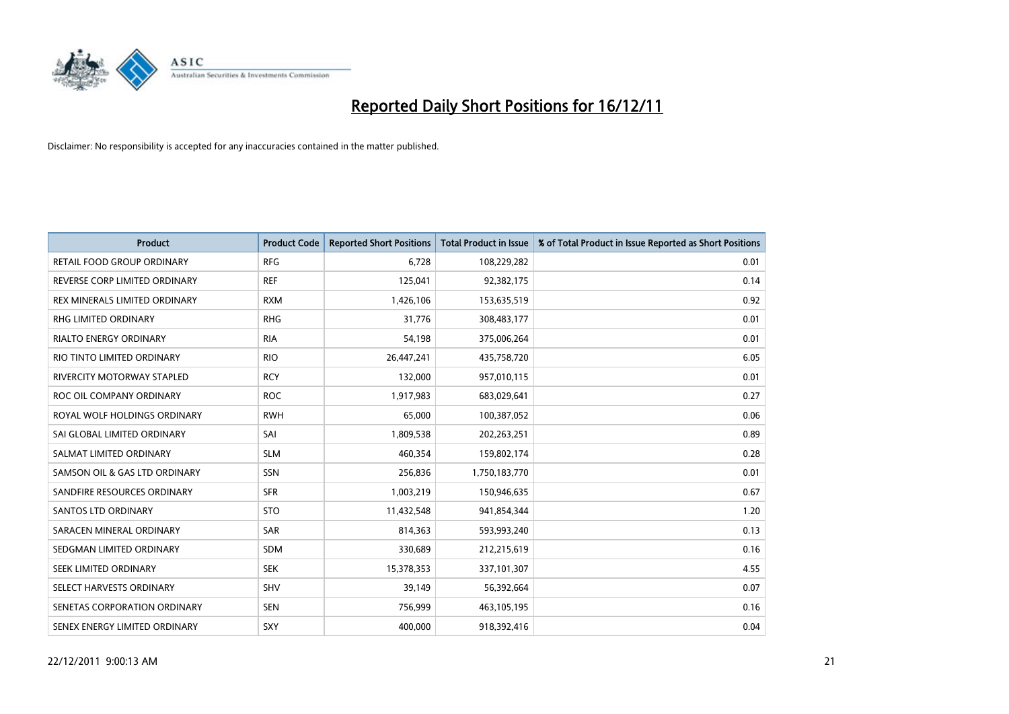

| <b>Product</b>                | <b>Product Code</b> | <b>Reported Short Positions</b> | <b>Total Product in Issue</b> | % of Total Product in Issue Reported as Short Positions |
|-------------------------------|---------------------|---------------------------------|-------------------------------|---------------------------------------------------------|
| RETAIL FOOD GROUP ORDINARY    | <b>RFG</b>          | 6,728                           | 108,229,282                   | 0.01                                                    |
| REVERSE CORP LIMITED ORDINARY | <b>REF</b>          | 125,041                         | 92,382,175                    | 0.14                                                    |
| REX MINERALS LIMITED ORDINARY | <b>RXM</b>          | 1,426,106                       | 153,635,519                   | 0.92                                                    |
| RHG LIMITED ORDINARY          | <b>RHG</b>          | 31,776                          | 308,483,177                   | 0.01                                                    |
| <b>RIALTO ENERGY ORDINARY</b> | <b>RIA</b>          | 54,198                          | 375,006,264                   | 0.01                                                    |
| RIO TINTO LIMITED ORDINARY    | <b>RIO</b>          | 26,447,241                      | 435,758,720                   | 6.05                                                    |
| RIVERCITY MOTORWAY STAPLED    | <b>RCY</b>          | 132,000                         | 957,010,115                   | 0.01                                                    |
| ROC OIL COMPANY ORDINARY      | <b>ROC</b>          | 1,917,983                       | 683,029,641                   | 0.27                                                    |
| ROYAL WOLF HOLDINGS ORDINARY  | <b>RWH</b>          | 65,000                          | 100,387,052                   | 0.06                                                    |
| SAI GLOBAL LIMITED ORDINARY   | SAI                 | 1,809,538                       | 202,263,251                   | 0.89                                                    |
| SALMAT LIMITED ORDINARY       | <b>SLM</b>          | 460,354                         | 159,802,174                   | 0.28                                                    |
| SAMSON OIL & GAS LTD ORDINARY | SSN                 | 256,836                         | 1,750,183,770                 | 0.01                                                    |
| SANDFIRE RESOURCES ORDINARY   | <b>SFR</b>          | 1,003,219                       | 150,946,635                   | 0.67                                                    |
| <b>SANTOS LTD ORDINARY</b>    | <b>STO</b>          | 11,432,548                      | 941,854,344                   | 1.20                                                    |
| SARACEN MINERAL ORDINARY      | SAR                 | 814,363                         | 593,993,240                   | 0.13                                                    |
| SEDGMAN LIMITED ORDINARY      | <b>SDM</b>          | 330,689                         | 212,215,619                   | 0.16                                                    |
| SEEK LIMITED ORDINARY         | <b>SEK</b>          | 15,378,353                      | 337,101,307                   | 4.55                                                    |
| SELECT HARVESTS ORDINARY      | <b>SHV</b>          | 39,149                          | 56,392,664                    | 0.07                                                    |
| SENETAS CORPORATION ORDINARY  | <b>SEN</b>          | 756,999                         | 463,105,195                   | 0.16                                                    |
| SENEX ENERGY LIMITED ORDINARY | SXY                 | 400,000                         | 918,392,416                   | 0.04                                                    |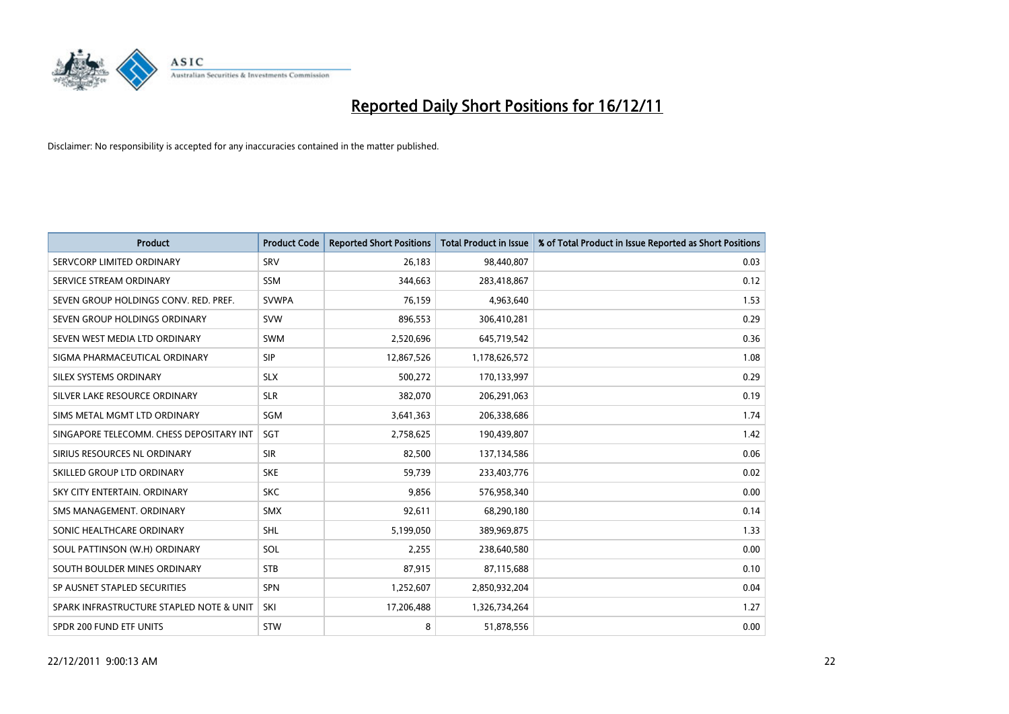

| <b>Product</b>                           | <b>Product Code</b> | <b>Reported Short Positions</b> | <b>Total Product in Issue</b> | % of Total Product in Issue Reported as Short Positions |
|------------------------------------------|---------------------|---------------------------------|-------------------------------|---------------------------------------------------------|
| SERVCORP LIMITED ORDINARY                | SRV                 | 26,183                          | 98,440,807                    | 0.03                                                    |
| SERVICE STREAM ORDINARY                  | <b>SSM</b>          | 344,663                         | 283,418,867                   | 0.12                                                    |
| SEVEN GROUP HOLDINGS CONV. RED. PREF.    | <b>SVWPA</b>        | 76,159                          | 4,963,640                     | 1.53                                                    |
| SEVEN GROUP HOLDINGS ORDINARY            | <b>SVW</b>          | 896,553                         | 306,410,281                   | 0.29                                                    |
| SEVEN WEST MEDIA LTD ORDINARY            | <b>SWM</b>          | 2,520,696                       | 645,719,542                   | 0.36                                                    |
| SIGMA PHARMACEUTICAL ORDINARY            | <b>SIP</b>          | 12,867,526                      | 1,178,626,572                 | 1.08                                                    |
| SILEX SYSTEMS ORDINARY                   | <b>SLX</b>          | 500,272                         | 170,133,997                   | 0.29                                                    |
| SILVER LAKE RESOURCE ORDINARY            | <b>SLR</b>          | 382,070                         | 206,291,063                   | 0.19                                                    |
| SIMS METAL MGMT LTD ORDINARY             | SGM                 | 3,641,363                       | 206,338,686                   | 1.74                                                    |
| SINGAPORE TELECOMM. CHESS DEPOSITARY INT | SGT                 | 2,758,625                       | 190,439,807                   | 1.42                                                    |
| SIRIUS RESOURCES NL ORDINARY             | <b>SIR</b>          | 82,500                          | 137,134,586                   | 0.06                                                    |
| SKILLED GROUP LTD ORDINARY               | <b>SKE</b>          | 59,739                          | 233,403,776                   | 0.02                                                    |
| SKY CITY ENTERTAIN, ORDINARY             | <b>SKC</b>          | 9,856                           | 576,958,340                   | 0.00                                                    |
| SMS MANAGEMENT, ORDINARY                 | <b>SMX</b>          | 92,611                          | 68,290,180                    | 0.14                                                    |
| SONIC HEALTHCARE ORDINARY                | <b>SHL</b>          | 5,199,050                       | 389,969,875                   | 1.33                                                    |
| SOUL PATTINSON (W.H) ORDINARY            | SOL                 | 2,255                           | 238,640,580                   | 0.00                                                    |
| SOUTH BOULDER MINES ORDINARY             | <b>STB</b>          | 87,915                          | 87,115,688                    | 0.10                                                    |
| SP AUSNET STAPLED SECURITIES             | <b>SPN</b>          | 1,252,607                       | 2,850,932,204                 | 0.04                                                    |
| SPARK INFRASTRUCTURE STAPLED NOTE & UNIT | SKI                 | 17,206,488                      | 1,326,734,264                 | 1.27                                                    |
| SPDR 200 FUND ETF UNITS                  | <b>STW</b>          | 8                               | 51,878,556                    | 0.00                                                    |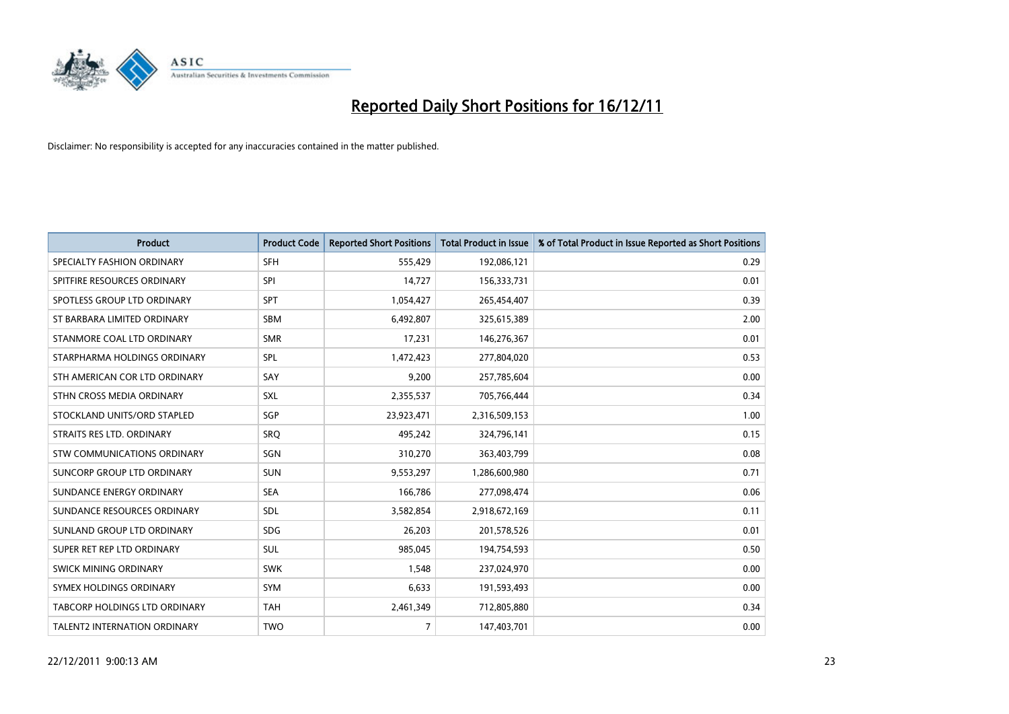

| <b>Product</b>                       | <b>Product Code</b> | <b>Reported Short Positions</b> | <b>Total Product in Issue</b> | % of Total Product in Issue Reported as Short Positions |
|--------------------------------------|---------------------|---------------------------------|-------------------------------|---------------------------------------------------------|
| SPECIALTY FASHION ORDINARY           | <b>SFH</b>          | 555,429                         | 192,086,121                   | 0.29                                                    |
| SPITFIRE RESOURCES ORDINARY          | SPI                 | 14,727                          | 156,333,731                   | 0.01                                                    |
| SPOTLESS GROUP LTD ORDINARY          | <b>SPT</b>          | 1,054,427                       | 265,454,407                   | 0.39                                                    |
| ST BARBARA LIMITED ORDINARY          | <b>SBM</b>          | 6,492,807                       | 325,615,389                   | 2.00                                                    |
| STANMORE COAL LTD ORDINARY           | <b>SMR</b>          | 17,231                          | 146,276,367                   | 0.01                                                    |
| STARPHARMA HOLDINGS ORDINARY         | SPL                 | 1,472,423                       | 277,804,020                   | 0.53                                                    |
| STH AMERICAN COR LTD ORDINARY        | SAY                 | 9,200                           | 257,785,604                   | 0.00                                                    |
| STHN CROSS MEDIA ORDINARY            | SXL                 | 2,355,537                       | 705,766,444                   | 0.34                                                    |
| STOCKLAND UNITS/ORD STAPLED          | SGP                 | 23,923,471                      | 2,316,509,153                 | 1.00                                                    |
| STRAITS RES LTD. ORDINARY            | SRO                 | 495,242                         | 324,796,141                   | 0.15                                                    |
| STW COMMUNICATIONS ORDINARY          | SGN                 | 310,270                         | 363,403,799                   | 0.08                                                    |
| SUNCORP GROUP LTD ORDINARY           | <b>SUN</b>          | 9,553,297                       | 1,286,600,980                 | 0.71                                                    |
| SUNDANCE ENERGY ORDINARY             | <b>SEA</b>          | 166,786                         | 277,098,474                   | 0.06                                                    |
| SUNDANCE RESOURCES ORDINARY          | SDL                 | 3,582,854                       | 2,918,672,169                 | 0.11                                                    |
| SUNLAND GROUP LTD ORDINARY           | <b>SDG</b>          | 26,203                          | 201,578,526                   | 0.01                                                    |
| SUPER RET REP LTD ORDINARY           | <b>SUL</b>          | 985,045                         | 194,754,593                   | 0.50                                                    |
| SWICK MINING ORDINARY                | <b>SWK</b>          | 1,548                           | 237,024,970                   | 0.00                                                    |
| SYMEX HOLDINGS ORDINARY              | <b>SYM</b>          | 6,633                           | 191,593,493                   | 0.00                                                    |
| <b>TABCORP HOLDINGS LTD ORDINARY</b> | <b>TAH</b>          | 2,461,349                       | 712,805,880                   | 0.34                                                    |
| TALENT2 INTERNATION ORDINARY         | <b>TWO</b>          | $\overline{7}$                  | 147,403,701                   | 0.00                                                    |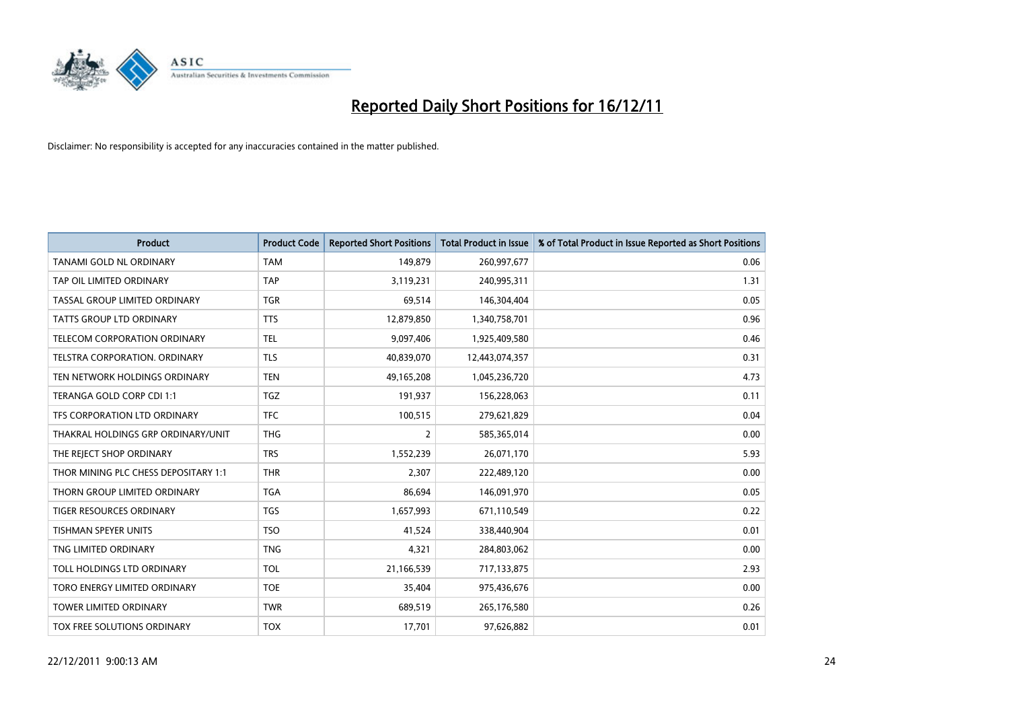

| <b>Product</b>                       | <b>Product Code</b> | <b>Reported Short Positions</b> | <b>Total Product in Issue</b> | % of Total Product in Issue Reported as Short Positions |
|--------------------------------------|---------------------|---------------------------------|-------------------------------|---------------------------------------------------------|
| TANAMI GOLD NL ORDINARY              | <b>TAM</b>          | 149,879                         | 260,997,677                   | 0.06                                                    |
| TAP OIL LIMITED ORDINARY             | <b>TAP</b>          | 3,119,231                       | 240,995,311                   | 1.31                                                    |
| TASSAL GROUP LIMITED ORDINARY        | <b>TGR</b>          | 69,514                          | 146,304,404                   | 0.05                                                    |
| TATTS GROUP LTD ORDINARY             | <b>TTS</b>          | 12,879,850                      | 1,340,758,701                 | 0.96                                                    |
| <b>TELECOM CORPORATION ORDINARY</b>  | <b>TEL</b>          | 9,097,406                       | 1,925,409,580                 | 0.46                                                    |
| TELSTRA CORPORATION, ORDINARY        | <b>TLS</b>          | 40,839,070                      | 12,443,074,357                | 0.31                                                    |
| TEN NETWORK HOLDINGS ORDINARY        | <b>TEN</b>          | 49,165,208                      | 1,045,236,720                 | 4.73                                                    |
| TERANGA GOLD CORP CDI 1:1            | <b>TGZ</b>          | 191,937                         | 156,228,063                   | 0.11                                                    |
| TFS CORPORATION LTD ORDINARY         | <b>TFC</b>          | 100,515                         | 279,621,829                   | 0.04                                                    |
| THAKRAL HOLDINGS GRP ORDINARY/UNIT   | <b>THG</b>          | 2                               | 585,365,014                   | 0.00                                                    |
| THE REJECT SHOP ORDINARY             | <b>TRS</b>          | 1,552,239                       | 26,071,170                    | 5.93                                                    |
| THOR MINING PLC CHESS DEPOSITARY 1:1 | <b>THR</b>          | 2.307                           | 222,489,120                   | 0.00                                                    |
| THORN GROUP LIMITED ORDINARY         | <b>TGA</b>          | 86,694                          | 146,091,970                   | 0.05                                                    |
| <b>TIGER RESOURCES ORDINARY</b>      | <b>TGS</b>          | 1,657,993                       | 671,110,549                   | 0.22                                                    |
| <b>TISHMAN SPEYER UNITS</b>          | <b>TSO</b>          | 41,524                          | 338,440,904                   | 0.01                                                    |
| TNG LIMITED ORDINARY                 | <b>TNG</b>          | 4,321                           | 284,803,062                   | 0.00                                                    |
| TOLL HOLDINGS LTD ORDINARY           | <b>TOL</b>          | 21,166,539                      | 717,133,875                   | 2.93                                                    |
| TORO ENERGY LIMITED ORDINARY         | <b>TOE</b>          | 35,404                          | 975,436,676                   | 0.00                                                    |
| <b>TOWER LIMITED ORDINARY</b>        | <b>TWR</b>          | 689,519                         | 265,176,580                   | 0.26                                                    |
| TOX FREE SOLUTIONS ORDINARY          | <b>TOX</b>          | 17,701                          | 97,626,882                    | 0.01                                                    |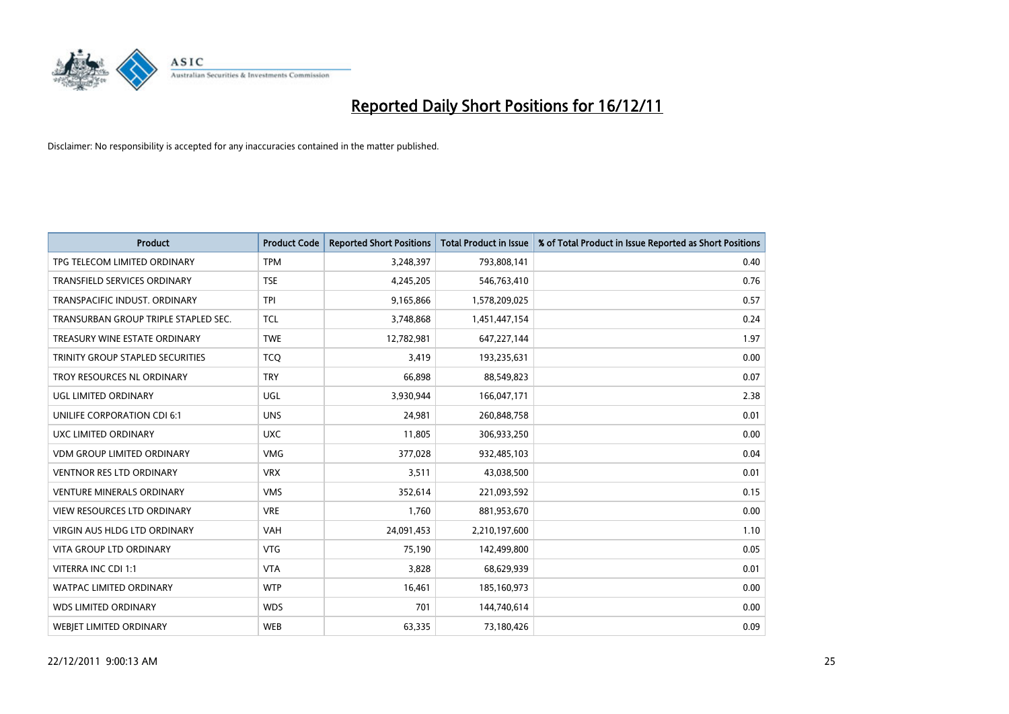

| <b>Product</b>                       | <b>Product Code</b> | <b>Reported Short Positions</b> | <b>Total Product in Issue</b> | % of Total Product in Issue Reported as Short Positions |
|--------------------------------------|---------------------|---------------------------------|-------------------------------|---------------------------------------------------------|
| TPG TELECOM LIMITED ORDINARY         | <b>TPM</b>          | 3,248,397                       | 793,808,141                   | 0.40                                                    |
| TRANSFIELD SERVICES ORDINARY         | <b>TSE</b>          | 4,245,205                       | 546,763,410                   | 0.76                                                    |
| TRANSPACIFIC INDUST, ORDINARY        | <b>TPI</b>          | 9,165,866                       | 1,578,209,025                 | 0.57                                                    |
| TRANSURBAN GROUP TRIPLE STAPLED SEC. | <b>TCL</b>          | 3,748,868                       | 1,451,447,154                 | 0.24                                                    |
| TREASURY WINE ESTATE ORDINARY        | <b>TWE</b>          | 12,782,981                      | 647,227,144                   | 1.97                                                    |
| TRINITY GROUP STAPLED SECURITIES     | <b>TCO</b>          | 3,419                           | 193,235,631                   | 0.00                                                    |
| TROY RESOURCES NL ORDINARY           | <b>TRY</b>          | 66,898                          | 88,549,823                    | 0.07                                                    |
| UGL LIMITED ORDINARY                 | UGL                 | 3,930,944                       | 166,047,171                   | 2.38                                                    |
| UNILIFE CORPORATION CDI 6:1          | <b>UNS</b>          | 24,981                          | 260,848,758                   | 0.01                                                    |
| UXC LIMITED ORDINARY                 | <b>UXC</b>          | 11,805                          | 306,933,250                   | 0.00                                                    |
| <b>VDM GROUP LIMITED ORDINARY</b>    | <b>VMG</b>          | 377,028                         | 932,485,103                   | 0.04                                                    |
| <b>VENTNOR RES LTD ORDINARY</b>      | <b>VRX</b>          | 3,511                           | 43,038,500                    | 0.01                                                    |
| <b>VENTURE MINERALS ORDINARY</b>     | <b>VMS</b>          | 352,614                         | 221,093,592                   | 0.15                                                    |
| <b>VIEW RESOURCES LTD ORDINARY</b>   | <b>VRE</b>          | 1,760                           | 881,953,670                   | 0.00                                                    |
| <b>VIRGIN AUS HLDG LTD ORDINARY</b>  | <b>VAH</b>          | 24,091,453                      | 2,210,197,600                 | 1.10                                                    |
| <b>VITA GROUP LTD ORDINARY</b>       | <b>VTG</b>          | 75,190                          | 142,499,800                   | 0.05                                                    |
| VITERRA INC CDI 1:1                  | <b>VTA</b>          | 3,828                           | 68,629,939                    | 0.01                                                    |
| WATPAC LIMITED ORDINARY              | <b>WTP</b>          | 16,461                          | 185,160,973                   | 0.00                                                    |
| <b>WDS LIMITED ORDINARY</b>          | <b>WDS</b>          | 701                             | 144,740,614                   | 0.00                                                    |
| WEBIET LIMITED ORDINARY              | <b>WEB</b>          | 63,335                          | 73,180,426                    | 0.09                                                    |